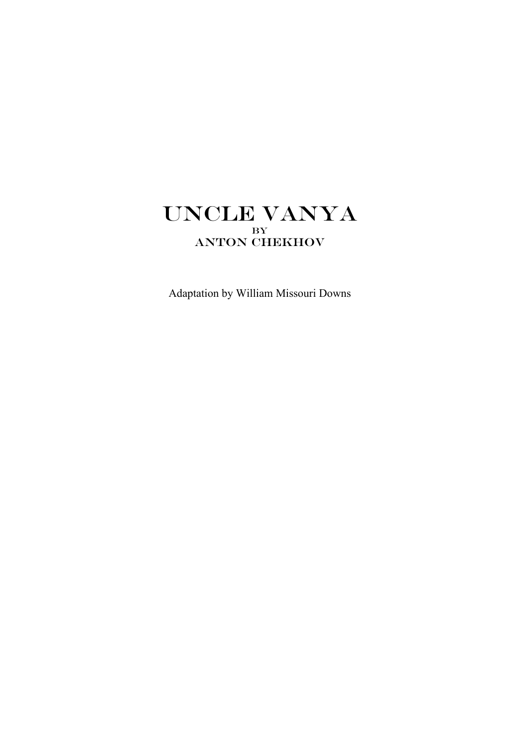# UNCLE VANYA By ANTON CHEKHOV

Adaptation by William Missouri Downs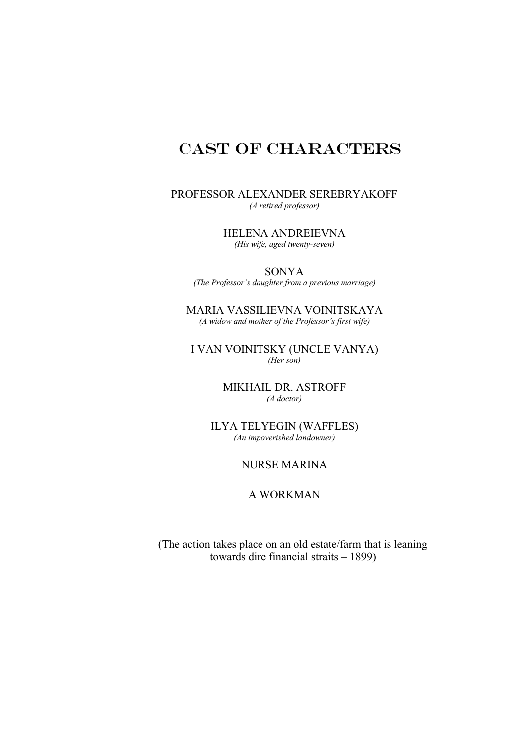# CAST OF CHARACTERS

PROFESSOR ALEXANDER SEREBRYAKOFF *(A retired professor)*

> HELENA ANDREIEVNA *(His wife, aged twenty-seven)*

SONYA *(The Professor's daughter from a previous marriage)*

MARIA VASSILIEVNA VOINITSKAYA *(A widow and mother of the Professor's first wife)*

I VAN VOINITSKY (UNCLE VANYA) *(Her son)*

> MIKHAIL DR. ASTROFF *(A doctor)*

ILYA TELYEGIN (WAFFLES) *(An impoverished landowner)*

# NURSE MARINA

# A WORKMAN

(The action takes place on an old estate/farm that is leaning towards dire financial straits – 1899)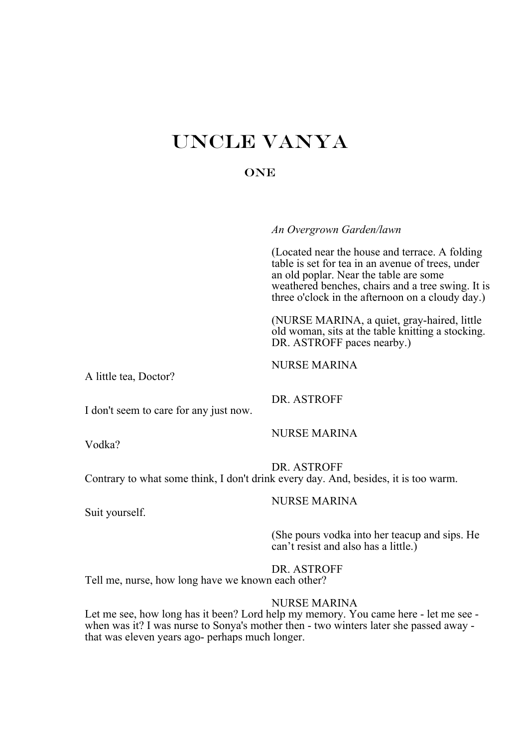# UNCLE VANYA

# **ONE**

*An Overgrown Garden/lawn*

(Located near the house and terrace. A folding table is set for tea in an avenue of trees, under an old poplar. Near the table are some weathered benches, chairs and a tree swing. It is three o'clock in the afternoon on a cloudy day.)

(NURSE MARINA, a quiet, gray-haired, little old woman, sits at the table knitting a stocking. DR. ASTROFF paces nearby.)

A little tea, Doctor?

NURSE MARINA

DR. ASTROFF

I don't seem to care for any just now.

Vodka?

NURSE MARINA

DR. ASTROFF Contrary to what some think, I don't drink every day. And, besides, it is too warm.

NURSE MARINA

Suit yourself.

(She pours vodka into her teacup and sips. He can't resist and also has a little.)

DR. ASTROFF

Tell me, nurse, how long have we known each other?

# NURSE MARINA

Let me see, how long has it been? Lord help my memory. You came here - let me see when was it? I was nurse to Sonya's mother then - two winters later she passed away that was eleven years ago- perhaps much longer.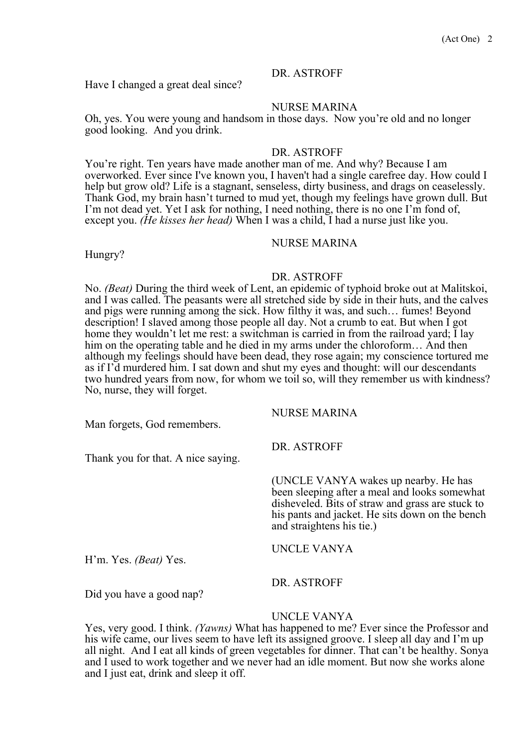Have I changed a great deal since?

#### NURSE MARINA

Oh, yes. You were young and handsom in those days. Now you're old and no longer good looking. And you drink.

# DR. ASTROFF

You're right. Ten years have made another man of me. And why? Because I am overworked. Ever since I've known you, I haven't had a single carefree day. How could I help but grow old? Life is a stagnant, senseless, dirty business, and drags on ceaselessly. Thank God, my brain hasn't turned to mud yet, though my feelings have grown dull. But I'm not dead yet. Yet I ask for nothing, I need nothing, there is no one I'm fond of, except you. *(He kisses her head)* When I was a child, I had a nurse just like you.

#### NURSE MARINA

Hungry?

#### DR. ASTROFF

No. *(Beat)* During the third week of Lent, an epidemic of typhoid broke out at Malitskoi, and I was called. The peasants were all stretched side by side in their huts, and the calves and pigs were running among the sick. How filthy it was, and such… fumes! Beyond description! I slaved among those people all day. Not a crumb to eat. But when I got home they wouldn't let me rest: a switchman is carried in from the railroad yard; I lay him on the operating table and he died in my arms under the chloroform… And then although my feelings should have been dead, they rose again; my conscience tortured me as if I'd murdered him. I sat down and shut my eyes and thought: will our descendants two hundred years from now, for whom we toil so, will they remember us with kindness? No, nurse, they will forget.

Man forgets, God remembers.

Thank you for that. A nice saying.

DR. ASTROFF

NURSE MARINA

(UNCLE VANYA wakes up nearby. He has been sleeping after a meal and looks somewhat disheveled. Bits of straw and grass are stuck to his pants and jacket. He sits down on the bench and straightens his tie.)

H'm. Yes. *(Beat)* Yes.

UNCLE VANYA

Did you have a good nap?

#### UNCLE VANYA

DR. ASTROFF

Yes, very good. I think. *(Yawns)* What has happened to me? Ever since the Professor and his wife came, our lives seem to have left its assigned groove. I sleep all day and I'm up all night. And I eat all kinds of green vegetables for dinner. That can't be healthy. Sonya and I used to work together and we never had an idle moment. But now she works alone and I just eat, drink and sleep it off.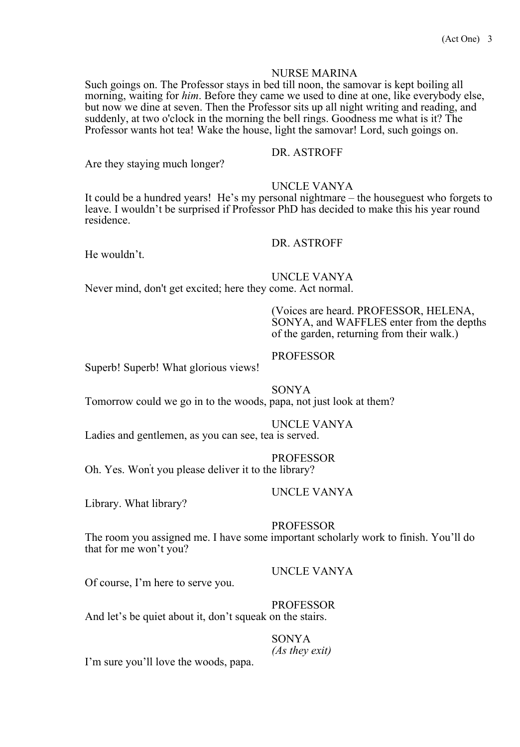#### NURSE MARINA

Such goings on. The Professor stays in bed till noon, the samovar is kept boiling all morning, waiting for *him*. Before they came we used to dine at one, like everybody else, but now we dine at seven. Then the Professor sits up all night writing and reading, and suddenly, at two o'clock in the morning the bell rings. Goodness me what is it? The Professor wants hot tea! Wake the house, light the samovar! Lord, such goings on.

# DR. ASTROFF

Are they staying much longer?

#### UNCLE VANYA

It could be a hundred years! He's my personal nightmare – the houseguest who forgets to leave. I wouldn't be surprised if Professor PhD has decided to make this his year round residence.

#### DR. ASTROFF

He wouldn't.

UNCLE VANYA

Never mind, don't get excited; here they come. Act normal.

(Voices are heard. PROFESSOR, HELENA, SONYA, and WAFFLES enter from the depths of the garden, returning from their walk.)

#### PROFESSOR

Superb! Superb! What glorious views!

# SONYA

Tomorrow could we go in to the woods, papa, not just look at them?

### UNCLE VANYA

Ladies and gentlemen, as you can see, tea is served.

#### PROFESSOR

Oh. Yes. Won't you please deliver it to the library?

#### UNCLE VANYA

Library. What library?

#### **PROFESSOR**

The room you assigned me. I have some important scholarly work to finish. You'll do that for me won't you?

UNCLE VANYA

Of course, I'm here to serve you.

#### PROFESSOR

And let's be quiet about it, don't squeak on the stairs.

SONYA

*(As they exit)* I'm sure you'll love the woods, papa.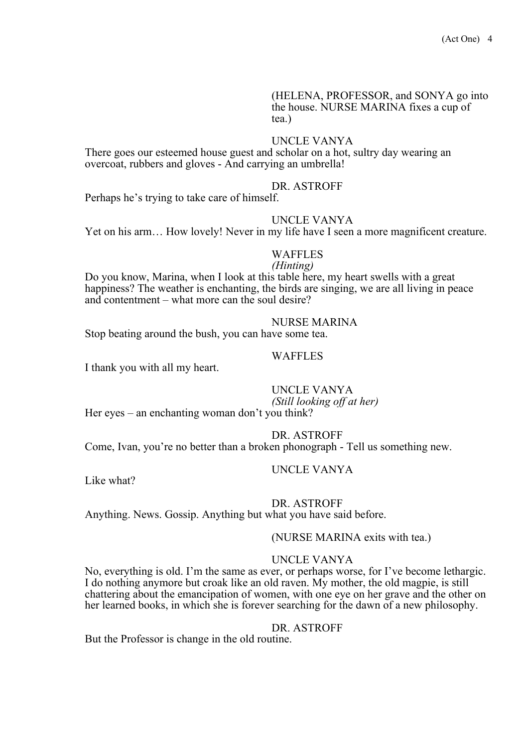(HELENA, PROFESSOR, and SONYA go into the house. NURSE MARINA fixes a cup of tea.)

#### UNCLE VANYA

There goes our esteemed house guest and scholar on a hot, sultry day wearing an overcoat, rubbers and gloves - And carrying an umbrella!

#### DR. ASTROFF

Perhaps he's trying to take care of himself.

#### UNCLE VANYA

Yet on his arm… How lovely! Never in my life have I seen a more magnificent creature.

#### WAFFLES

#### *(Hinting)*

Do you know, Marina, when I look at this table here, my heart swells with a great happiness? The weather is enchanting, the birds are singing, we are all living in peace and contentment – what more can the soul desire?

#### NURSE MARINA

Stop beating around the bush, you can have some tea.

#### WAFFLES

I thank you with all my heart.

#### UNCLE VANYA *(Still looking off at her)*

Her eyes – an enchanting woman don't you think?

DR. ASTROFF

Come, Ivan, you're no better than a broken phonograph - Tell us something new.

Like what?

# UNCLE VANYA

#### DR. ASTROFF

Anything. News. Gossip. Anything but what you have said before.

#### (NURSE MARINA exits with tea.)

#### UNCLE VANYA

No, everything is old. I'm the same as ever, or perhaps worse, for I've become lethargic. I do nothing anymore but croak like an old raven. My mother, the old magpie, is still chattering about the emancipation of women, with one eye on her grave and the other on her learned books, in which she is forever searching for the dawn of a new philosophy.

#### DR. ASTROFF

But the Professor is change in the old routine.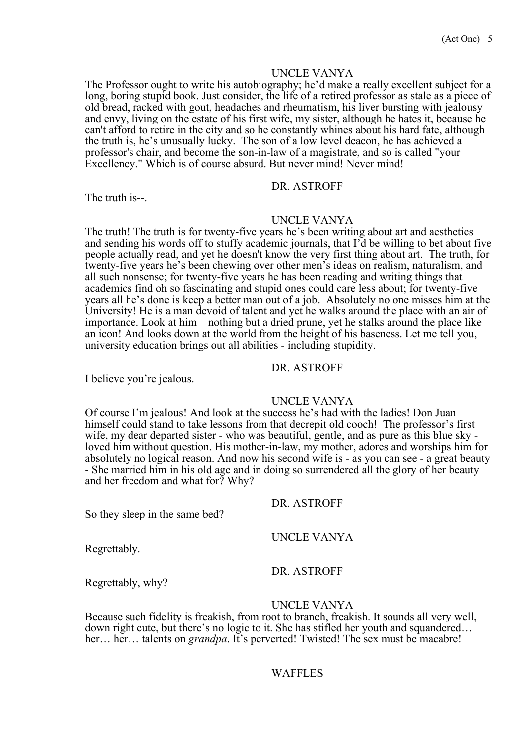#### UNCLE VANYA

The Professor ought to write his autobiography; he'd make a really excellent subject for a long, boring stupid book. Just consider, the life of a retired professor as stale as a piece of old bread, racked with gout, headaches and rheumatism, his liver bursting with jealousy and envy, living on the estate of his first wife, my sister, although he hates it, because he can't afford to retire in the city and so he constantly whines about his hard fate, although the truth is, he's unusually lucky. The son of a low level deacon, he has achieved a professor's chair, and become the son-in-law of a magistrate, and so is called "your Excellency." Which is of course absurd. But never mind! Never mind!

DR. ASTROFF

The truth is--.

#### UNCLE VANYA

The truth! The truth is for twenty-five years he's been writing about art and aesthetics and sending his words off to stuffy academic journals, that I'd be willing to bet about five people actually read, and yet he doesn't know the very first thing about art. The truth, for twenty-five years he's been chewing over other men's ideas on realism, naturalism, and all such nonsense; for twenty-five years he has been reading and writing things that academics find oh so fascinating and stupid ones could care less about; for twenty-five years all he's done is keep a better man out of a job. Absolutely no one misses him at the University! He is a man devoid of talent and yet he walks around the place with an air of importance. Look at him – nothing but a dried prune, yet he stalks around the place like an icon! And looks down at the world from the height of his baseness. Let me tell you, university education brings out all abilities - including stupidity.

### DR. ASTROFF

I believe you're jealous.

# UNCLE VANYA

Of course I'm jealous! And look at the success he's had with the ladies! Don Juan himself could stand to take lessons from that decrepit old cooch! The professor's first wife, my dear departed sister - who was beautiful, gentle, and as pure as this blue sky loved him without question. His mother-in-law, my mother, adores and worships him for absolutely no logical reason. And now his second wife is - as you can see - a great beauty - She married him in his old age and in doing so surrendered all the glory of her beauty and her freedom and what for? Why?

DR. ASTROFF

Regrettably.

DR. ASTROFF

UNCLE VANYA

Regrettably, why?

So they sleep in the same bed?

#### UNCLE VANYA

Because such fidelity is freakish, from root to branch, freakish. It sounds all very well, down right cute, but there's no logic to it. She has stifled her youth and squandered… her… her… talents on *grandpa*. It's perverted! Twisted! The sex must be macabre!

#### WAFFLES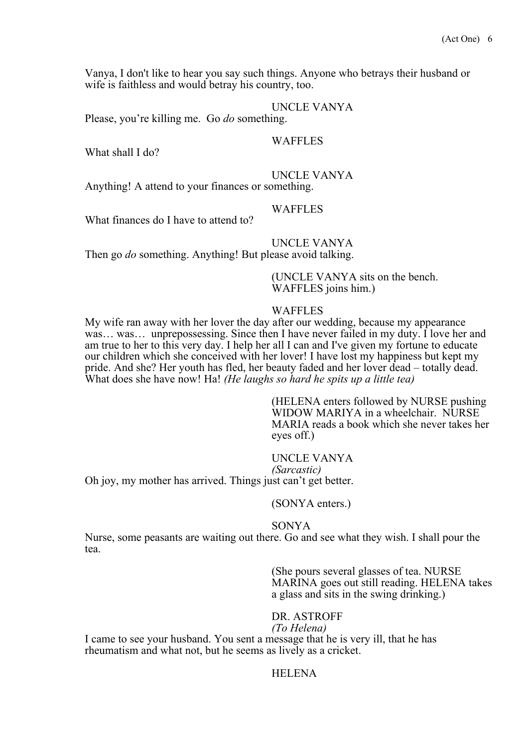Vanya, I don't like to hear you say such things. Anyone who betrays their husband or wife is faithless and would betray his country, too.

#### UNCLE VANYA

Please, you're killing me. Go *do* something.

#### WAFFLES

What shall I do?

UNCLE VANYA

Anything! A attend to your finances or something.

#### **WAFFLES**

What finances do I have to attend to?

# UNCLE VANYA

Then go *do* something. Anything! But please avoid talking.

(UNCLE VANYA sits on the bench. WAFFLES joins him.)

#### WAFFLES

My wife ran away with her lover the day after our wedding, because my appearance was… was… unprepossessing. Since then I have never failed in my duty. I love her and am true to her to this very day. I help her all I can and I've given my fortune to educate our children which she conceived with her lover! I have lost my happiness but kept my pride. And she? Her youth has fled, her beauty faded and her lover dead – totally dead. What does she have now! Ha! *(He laughs so hard he spits up a little tea)*

> (HELENA enters followed by NURSE pushing WIDOW MARIYA in a wheelchair. NURSE MARIA reads a book which she never takes her eyes off.)

# UNCLE VANYA *(Sarcastic)*

Oh joy, my mother has arrived. Things just can't get better.

#### (SONYA enters.)

#### SONYA

Nurse, some peasants are waiting out there. Go and see what they wish. I shall pour the tea.

> (She pours several glasses of tea. NURSE MARINA goes out still reading. HELENA takes a glass and sits in the swing drinking.)

# DR. ASTROFF

*(To Helena)* I came to see your husband. You sent a message that he is very ill, that he has rheumatism and what not, but he seems as lively as a cricket.

#### **HELENA**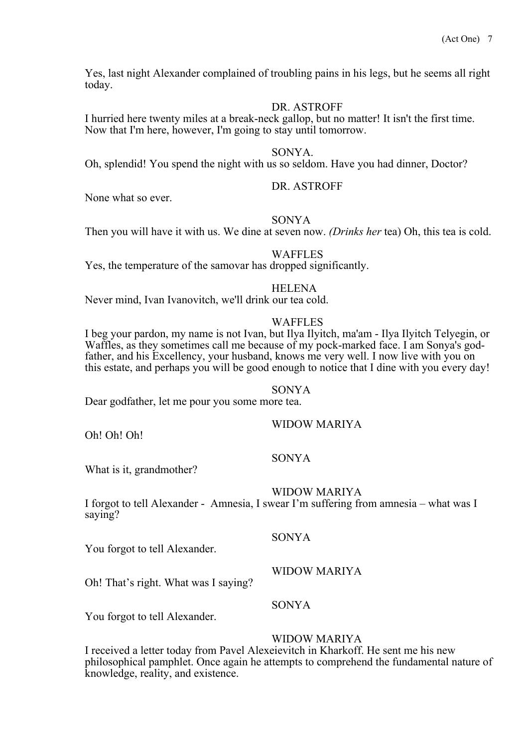Yes, last night Alexander complained of troubling pains in his legs, but he seems all right today.

#### DR. ASTROFF

I hurried here twenty miles at a break-neck gallop, but no matter! It isn't the first time. Now that I'm here, however, I'm going to stay until tomorrow.

#### SONYA.

Oh, splendid! You spend the night with us so seldom. Have you had dinner, Doctor?

#### DR. ASTROFF

None what so ever.

### SONYA

Then you will have it with us. We dine at seven now. *(Drinks her* tea) Oh, this tea is cold.

#### WAFFLES

Yes, the temperature of the samovar has dropped significantly.

#### HELENA

Never mind, Ivan Ivanovitch, we'll drink our tea cold.

#### WAFFLES

I beg your pardon, my name is not Ivan, but Ilya Ilyitch, ma'am - Ilya Ilyitch Telyegin, or Waffles, as they sometimes call me because of my pock-marked face. I am Sonya's god-<br>father, and his Excellency, your husband, knows me very well. I now live with you on this estate, and perhaps you will be good enough to notice that I dine with you every day!

#### SONYA

Dear godfather, let me pour you some more tea.

Oh! Oh! Oh!

# SONYA

What is it, grandmother?

#### WIDOW MARIYA

WIDOW MARIYA

I forgot to tell Alexander - Amnesia, I swear I'm suffering from amnesia – what was I saying?

#### SONYA

You forgot to tell Alexander.

WIDOW MARIYA

Oh! That's right. What was I saying?

# SONYA

You forgot to tell Alexander.

#### WIDOW MARIYA

I received a letter today from Pavel Alexeievitch in Kharkoff. He sent me his new philosophical pamphlet. Once again he attempts to comprehend the fundamental nature of knowledge, reality, and existence.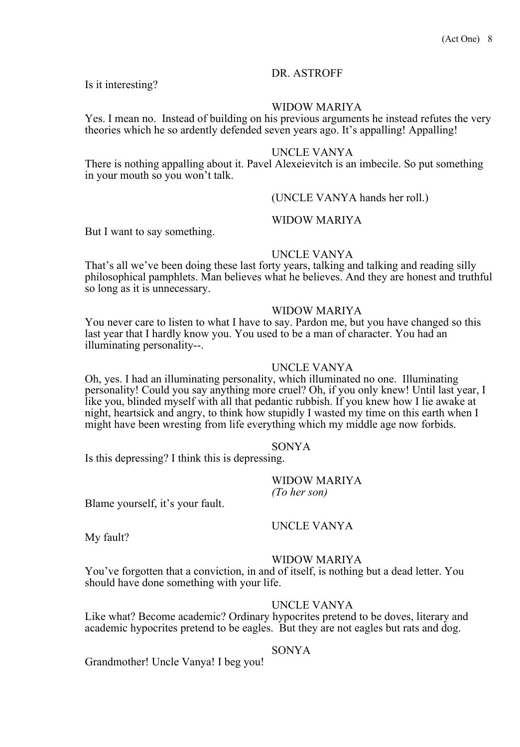Is it interesting?

# WIDOW MARIYA

Yes. I mean no. Instead of building on his previous arguments he instead refutes the very theories which he so ardently defended seven years ago. It's appalling! Appalling!

# UNCLE VANYA

There is nothing appalling about it. Pavel Alexeievitch is an imbecile. So put something in your mouth so you won't talk.

### (UNCLE VANYA hands her roll.)

#### WIDOW MARIYA

But I want to say something.

#### UNCLE VANYA

That's all we've been doing these last forty years, talking and talking and reading silly philosophical pamphlets. Man believes what he believes. And they are honest and truthful so long as it is unnecessary.

#### WIDOW MARIYA

You never care to listen to what I have to say. Pardon me, but you have changed so this last year that I hardly know you. You used to be a man of character. You had an illuminating personality--.

### UNCLE VANYA

Oh, yes. I had an illuminating personality, which illuminated no one. Illuminating personality! Could you say anything more cruel? Oh, if you only knew! Until last year, I like you, blinded myself with all that pedantic rubbish. If you knew how I lie awake at night, heartsick and angry, to think how stupidly I wasted my time on this earth when I might have been wresting from life everything which my middle age now forbids.

#### SONYA

Is this depressing? I think this is depressing.

WIDOW MARIYA *(To her son)* 

Blame yourself, it's your fault.

UNCLE VANYA

My fault?

### WIDOW MARIYA

You've forgotten that a conviction, in and of itself, is nothing but a dead letter. You should have done something with your life.

#### UNCLE VANYA

Like what? Become academic? Ordinary hypocrites pretend to be doves, literary and academic hypocrites pretend to be eagles. But they are not eagles but rats and dog.

# SONYA

Grandmother! Uncle Vanya! I beg you!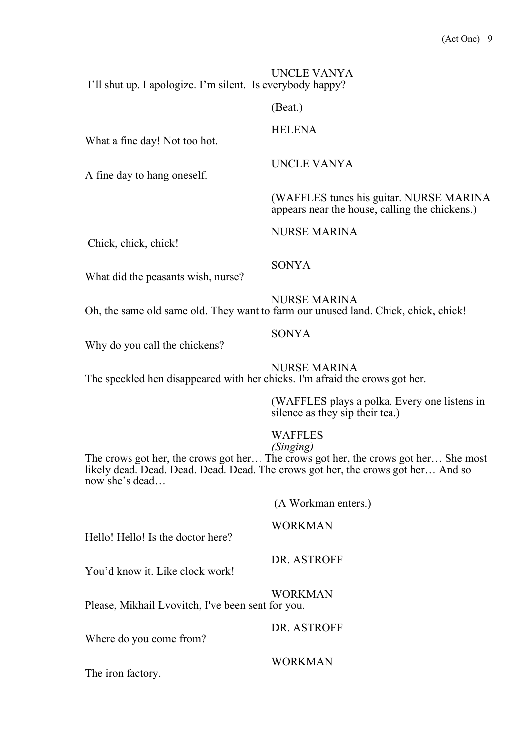UNCLE VANYA I'll shut up. I apologize. I'm silent. Is everybody happy?

(Beat.)

# **HELENA**

UNCLE VANYA

NURSE MARINA

What a fine day! Not too hot.

A fine day to hang oneself.

(WAFFLES tunes his guitar. NURSE MARINA appears near the house, calling the chickens.)

Chick, chick, chick!

What did the peasants wish, nurse?

NURSE MARINA Oh, the same old same old. They want to farm our unused land. Chick, chick, chick!

### SONYA

SONYA

Why do you call the chickens?

NURSE MARINA

The speckled hen disappeared with her chicks. I'm afraid the crows got her.

(WAFFLES plays a polka. Every one listens in silence as they sip their tea.)

### WAFFLES

### *(Singing)*

The crows got her, the crows got her… The crows got her, the crows got her… She most likely dead. Dead. Dead. Dead. Dead. The crows got her, the crows got her… And so now she's dead…

(A Workman enters.)

# WORKMAN

Hello! Hello! Is the doctor here?

DR. ASTROFF

You'd know it. Like clock work!

WORKMAN

Please, Mikhail Lvovitch, I've been sent for you.

DR. ASTROFF

Where do you come from?

WORKMAN

The iron factory.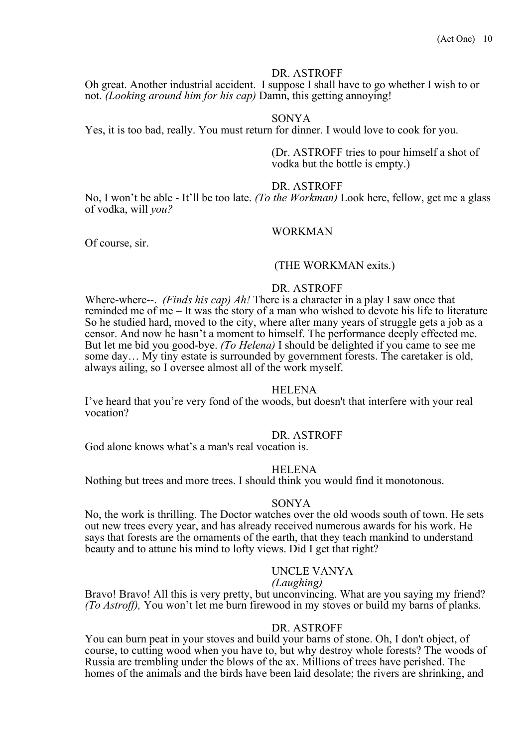Oh great. Another industrial accident. I suppose I shall have to go whether I wish to or not. *(Looking around him for his cap)* Damn, this getting annoying!

#### SONYA

Yes, it is too bad, really. You must return for dinner. I would love to cook for you.

(Dr. ASTROFF tries to pour himself a shot of vodka but the bottle is empty.)

#### DR. ASTROFF

No, I won't be able - It'll be too late. *(To the Workman)* Look here, fellow, get me a glass of vodka, will *you?*

#### WORKMAN

Of course, sir.

#### (THE WORKMAN exits.)

#### DR. ASTROFF

Where-where--. *(Finds his cap) Ah!* There is a character in a play I saw once that reminded me of me – It was the story of a man who wished to devote his life to literature So he studied hard, moved to the city, where after many years of struggle gets a job as a censor. And now he hasn't a moment to himself. The performance deeply effected me. But let me bid you good-bye. *(To Helena)* I should be delighted if you came to see me some day… My tiny estate is surrounded by government forests. The caretaker is old, always ailing, so I oversee almost all of the work myself.

#### HELENA

I've heard that you're very fond of the woods, but doesn't that interfere with your real vocation?

#### DR. ASTROFF

God alone knows what's a man's real vocation is.

#### **HELENA**

Nothing but trees and more trees. I should think you would find it monotonous.

#### SONYA

No, the work is thrilling. The Doctor watches over the old woods south of town. He sets out new trees every year, and has already received numerous awards for his work. He says that forests are the ornaments of the earth, that they teach mankind to understand beauty and to attune his mind to lofty views. Did I get that right?

#### UNCLE VANYA

#### *(Laughing)*

Bravo! Bravo! All this is very pretty, but unconvincing. What are you saying my friend? *(To Astroff),* You won't let me burn firewood in my stoves or build my barns of planks.

#### DR. ASTROFF

You can burn peat in your stoves and build your barns of stone. Oh, I don't object, of course, to cutting wood when you have to, but why destroy whole forests? The woods of Russia are trembling under the blows of the ax. Millions of trees have perished. The homes of the animals and the birds have been laid desolate; the rivers are shrinking, and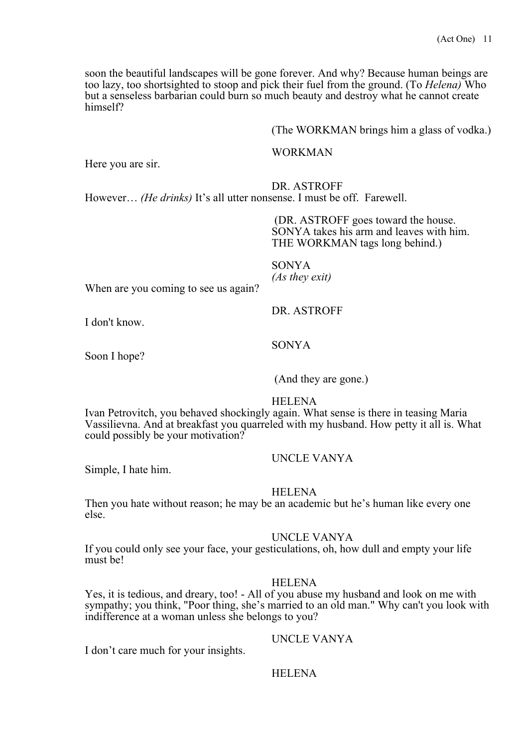soon the beautiful landscapes will be gone forever. And why? Because human beings are too lazy, too shortsighted to stoop and pick their fuel from the ground. (To *Helena)* Who but a senseless barbarian could burn so much beauty and destroy what he cannot create himself?

(The WORKMAN brings him a glass of vodka.)

## WORKMAN

Here you are sir.

DR. ASTROFF

However… *(He drinks)* It's all utter nonsense. I must be off. Farewell.

(DR. ASTROFF goes toward the house. SONYA takes his arm and leaves with him. THE WORKMAN tags long behind.)

SONYA

DR. ASTROFF

*(As they exit)* When are you coming to see us again?

I don't know.

Soon I hope?

(And they are gone.)

### HELENA

SONYA

Ivan Petrovitch, you behaved shockingly again. What sense is there in teasing Maria Vassilievna. And at breakfast you quarreled with my husband. How petty it all is. What could possibly be your motivation?

Simple, I hate him.

# HELENA

Then you hate without reason; he may be an academic but he's human like every one else.

### UNCLE VANYA

UNCLE VANYA

If you could only see your face, your gesticulations, oh, how dull and empty your life must be!

### **HELENA**

Yes, it is tedious, and dreary, too! - All of you abuse my husband and look on me with sympathy; you think, "Poor thing, she's married to an old man." Why can't you look with indifference at a woman unless she belongs to you?

UNCLE VANYA

I don't care much for your insights.

### **HELENA**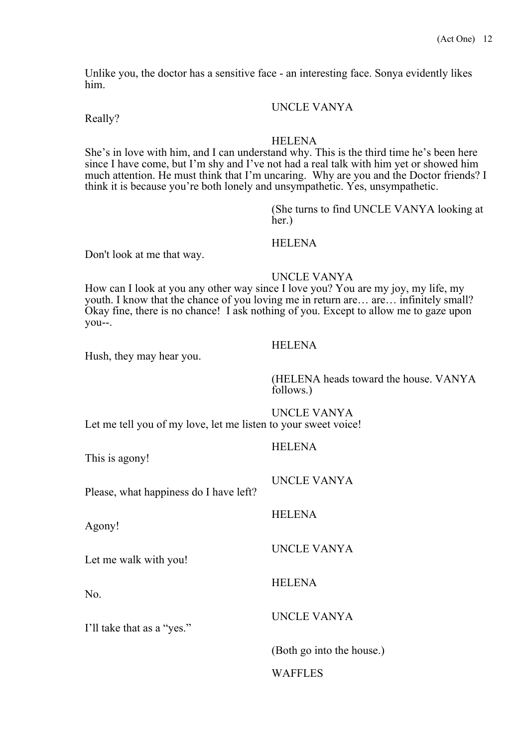Unlike you, the doctor has a sensitive face - an interesting face. Sonya evidently likes him.

### UNCLE VANYA

Really?

#### HELENA

She's in love with him, and I can understand why. This is the third time he's been here since I have come, but I'm shy and I've not had a real talk with him yet or showed him much attention. He must think that I'm uncaring. Why are you and the Doctor friends? I think it is because you're both lonely and unsympathetic. Yes, unsympathetic.

> (She turns to find UNCLE VANYA looking at her.)

# HELENA

Don't look at me that way.

# UNCLE VANYA

How can I look at you any other way since I love you? You are my joy, my life, my youth. I know that the chance of you loving me in return are… are… infinitely small? Okay fine, there is no chance! I ask nothing of you. Except to allow me to gaze upon you--.

Hush, they may hear you.

# **HELENA**

(HELENA heads toward the house. VANYA follows.)

UNCLE VANYA Let me tell you of my love, let me listen to your sweet voice!

| This is agony!                         | <b>HELENA</b>             |
|----------------------------------------|---------------------------|
| Please, what happiness do I have left? | UNCLE VANYA               |
| Agony!                                 | <b>HELENA</b>             |
| Let me walk with you!                  | <b>UNCLE VANYA</b>        |
| No.                                    | <b>HELENA</b>             |
| I'll take that as a "yes."             | UNCLE VANYA               |
|                                        | (Both go into the house.) |
|                                        | WAFFLES                   |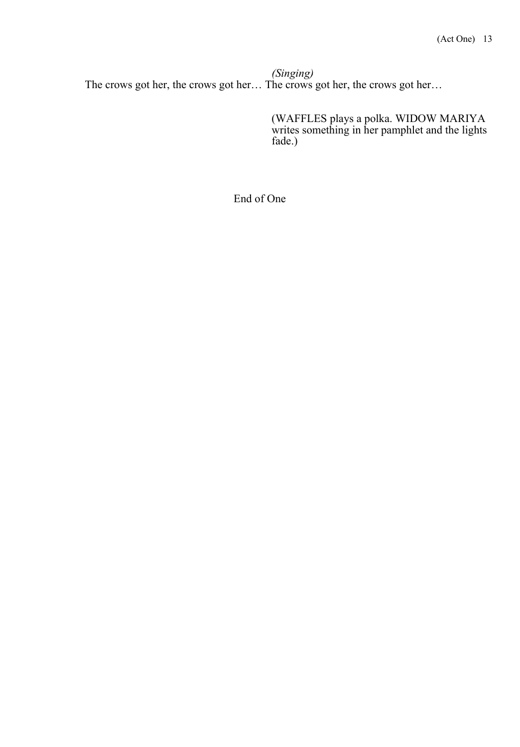*(Singing)* The crows got her, the crows got her… The crows got her, the crows got her…

> (WAFFLES plays a polka. WIDOW MARIYA writes something in her pamphlet and the lights fade.)

End of One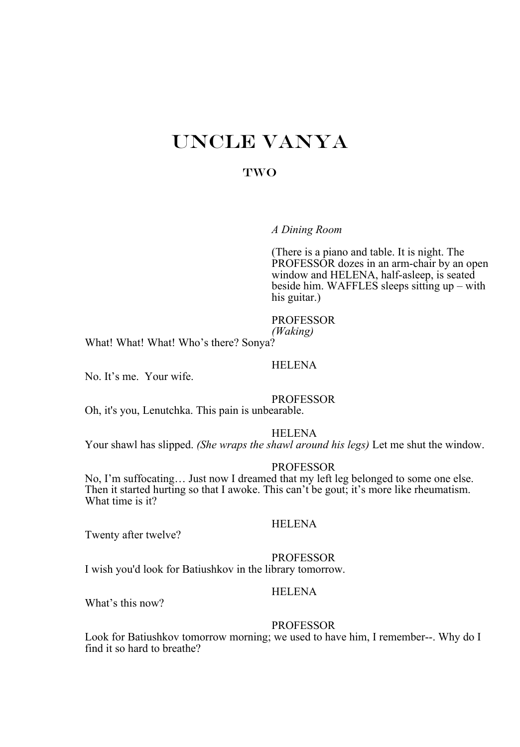# UNCLE VANYA

# TWO

*A Dining Room*

(There is a piano and table. It is night. The PROFESSOR dozes in an arm-chair by an open window and HELENA, half-asleep, is seated beside him. WAFFLES sleeps sitting up – with his guitar.)

#### PROFESSOR

*(Waking)*

What! What! What! Who's there? Sonya?

#### HELENA

No. It's me. Your wife.

#### PROFESSOR

Oh, it's you, Lenutchka. This pain is unbearable.

#### HELENA

Your shawl has slipped. *(She wraps the shawl around his legs)* Let me shut the window.

#### PROFESSOR

No, I'm suffocating… Just now I dreamed that my left leg belonged to some one else. Then it started hurting so that I awoke. This can't be gout; it's more like rheumatism. What time is it?

# HELENA

Twenty after twelve?

#### PROFESSOR

I wish you'd look for Batiushkov in the library tomorrow.

# HELENA

What's this now?

#### PROFESSOR

Look for Batiushkov tomorrow morning; we used to have him, I remember--. Why do I find it so hard to breathe?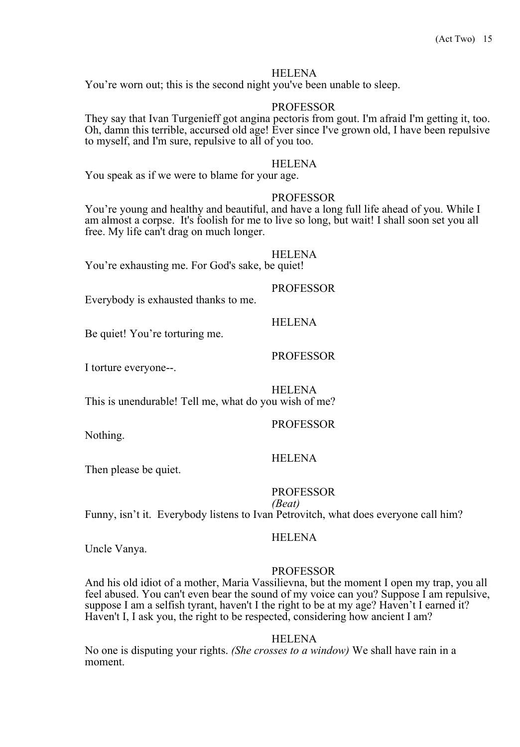You're worn out; this is the second night you've been unable to sleep.

#### PROFESSOR

They say that Ivan Turgenieff got angina pectoris from gout. I'm afraid I'm getting it, too. Oh, damn this terrible, accursed old age! Ever since I've grown old, I have been repulsive to myself, and I'm sure, repulsive to all of you too.

#### **HELENA**

You speak as if we were to blame for your age.

#### PROFESSOR

You're young and healthy and beautiful, and have a long full life ahead of you. While I am almost a corpse. It's foolish for me to live so long, but wait! I shall soon set you all free. My life can't drag on much longer.

HELENA

You're exhausting me. For God's sake, be quiet!

#### PROFESSOR

Everybody is exhausted thanks to me.

#### **HELENA**

PROFESSOR

Be quiet! You're torturing me.

I torture everyone--.

HELENA

This is unendurable! Tell me, what do you wish of me?

# PROFESSOR

Nothing.

### HELENA

Then please be quiet.

### PROFESSOR

*(Beat)* 

Funny, isn't it. Everybody listens to Ivan Petrovitch, what does everyone call him?

#### **HELENA**

Uncle Vanya.

#### PROFESSOR

And his old idiot of a mother, Maria Vassilievna, but the moment I open my trap, you all feel abused. You can't even bear the sound of my voice can you? Suppose I am repulsive, suppose I am a selfish tyrant, haven't I the right to be at my age? Haven't I earned it? Haven't I, I ask you, the right to be respected, considering how ancient I am?

#### **HELENA**

No one is disputing your rights. *(She crosses to a window)* We shall have rain in a moment.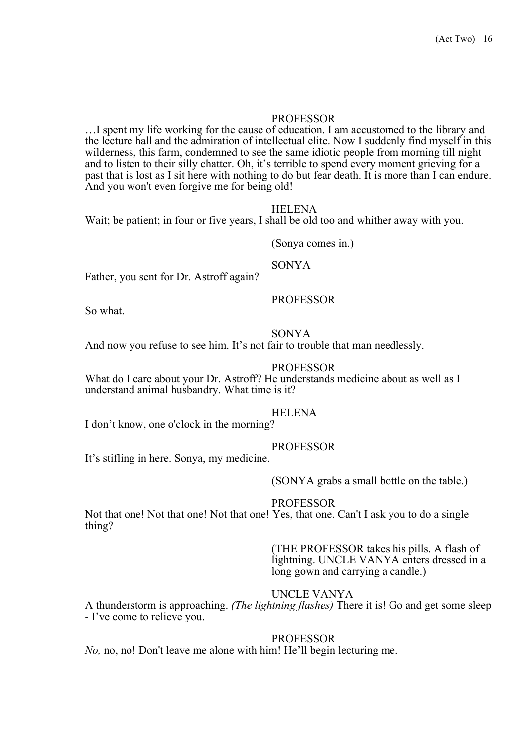#### PROFESSOR

…I spent my life working for the cause of education. I am accustomed to the library and the lecture hall and the admiration of intellectual elite. Now I suddenly find myself in this wilderness, this farm, condemned to see the same idiotic people from morning till night and to listen to their silly chatter. Oh, it's terrible to spend every moment grieving for a past that is lost as I sit here with nothing to do but fear death. It is more than I can endure. And you won't even forgive me for being old!

#### HELENA

Wait; be patient; in four or five years, I shall be old too and whither away with you.

(Sonya comes in.)

SONYA

Father, you sent for Dr. Astroff again?

#### PROFESSOR

So what.

#### SONYA

And now you refuse to see him. It's not fair to trouble that man needlessly.

### PROFESSOR

What do I care about your Dr. Astroff? He understands medicine about as well as I understand animal husbandry. What time is it?

#### HELENA

I don't know, one o'clock in the morning?

#### PROFESSOR

It's stifling in here. Sonya, my medicine.

#### (SONYA grabs a small bottle on the table.)

#### PROFESSOR

Not that one! Not that one! Not that one! Yes, that one. Can't I ask you to do a single thing?

> (THE PROFESSOR takes his pills. A flash of lightning. UNCLE VANYA enters dressed in a long gown and carrying a candle.)

# UNCLE VANYA

A thunderstorm is approaching. *(The lightning flashes)* There it is! Go and get some sleep - I've come to relieve you.

#### PROFESSOR

*No,* no, no! Don't leave me alone with him! He'll begin lecturing me.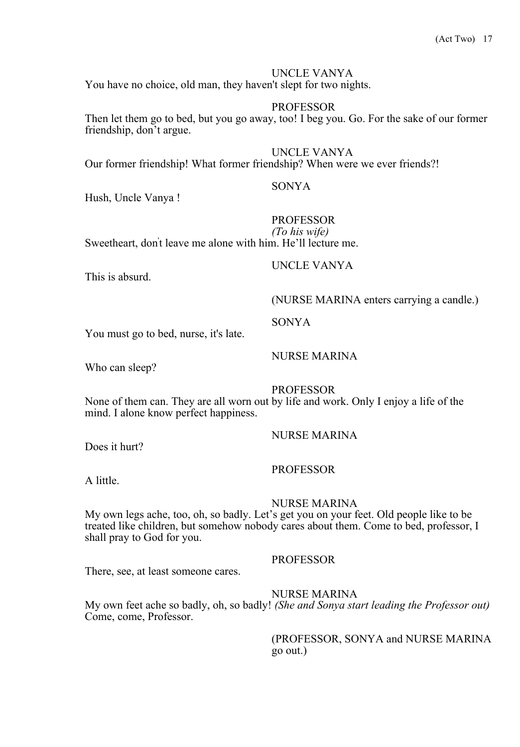# UNCLE VANYA

You have no choice, old man, they haven't slept for two nights.

# **PROFESSOR**

Then let them go to bed, but you go away, too! I beg you. Go. For the sake of our former friendship, don't argue.

UNCLE VANYA

Our former friendship! What former friendship? When were we ever friends?!

#### SONYA

Hush, Uncle Vanya !

# PROFESSOR

UNCLE VANYA

*(To his wife)* Sweetheart, don' t leave me alone with him. He'll lecture me.

This is absurd.

# (NURSE MARINA enters carrying a candle.)

SONYA

You must go to bed, nurse, it's late.

Who can sleep?

NURSE MARINA

PROFESSOR

None of them can. They are all worn out by life and work. Only I enjoy a life of the mind. I alone know perfect happiness.

Does it hurt?

PROFESSOR

NURSE MARINA

A little.

### NURSE MARINA

My own legs ache, too, oh, so badly. Let's get you on your feet. Old people like to be treated like children, but somehow nobody cares about them. Come to bed, professor, I shall pray to God for you.

There, see, at least someone cares.

#### NURSE MARINA

PROFESSOR

My own feet ache so badly, oh, so badly! *(She and Sonya start leading the Professor out)*  Come, come, Professor.

> (PROFESSOR, SONYA and NURSE MARINA go out.)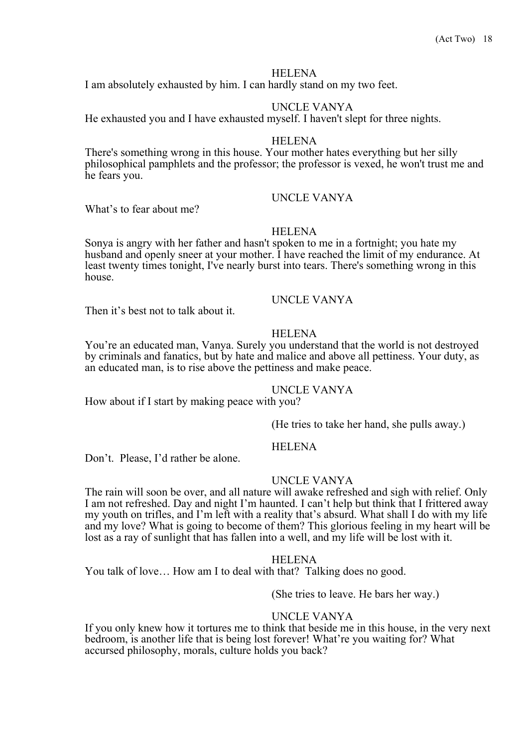I am absolutely exhausted by him. I can hardly stand on my two feet.

# UNCLE VANYA

He exhausted you and I have exhausted myself. I haven't slept for three nights.

#### HELENA

There's something wrong in this house. Your mother hates everything but her silly philosophical pamphlets and the professor; the professor is vexed, he won't trust me and he fears you.

# UNCLE VANYA

What's to fear about me?

### HELENA

Sonya is angry with her father and hasn't spoken to me in a fortnight; you hate my husband and openly sneer at your mother. I have reached the limit of my endurance. At least twenty times tonight, I've nearly burst into tears. There's something wrong in this house.

#### UNCLE VANYA

Then it's best not to talk about it.

#### HELENA

You're an educated man, Vanya. Surely you understand that the world is not destroyed by criminals and fanatics, but by hate and malice and above all pettiness. Your duty, as an educated man, is to rise above the pettiness and make peace.

### UNCLE VANYA

How about if I start by making peace with you?

(He tries to take her hand, she pulls away.)

#### **HELENA**

Don't. Please, I'd rather be alone.

### UNCLE VANYA

The rain will soon be over, and all nature will awake refreshed and sigh with relief. Only I am not refreshed. Day and night I'm haunted. I can't help but think that I frittered away my youth on trifles, and I'm left with a reality that's absurd. What shall I do with my life and my love? What is going to become of them? This glorious feeling in my heart will be lost as a ray of sunlight that has fallen into a well, and my life will be lost with it.

#### HELENA

You talk of love... How am I to deal with that? Talking does no good.

(She tries to leave. He bars her way.)

### UNCLE VANYA

If you only knew how it tortures me to think that beside me in this house, in the very next bedroom, is another life that is being lost forever! What're you waiting for? What accursed philosophy, morals, culture holds you back?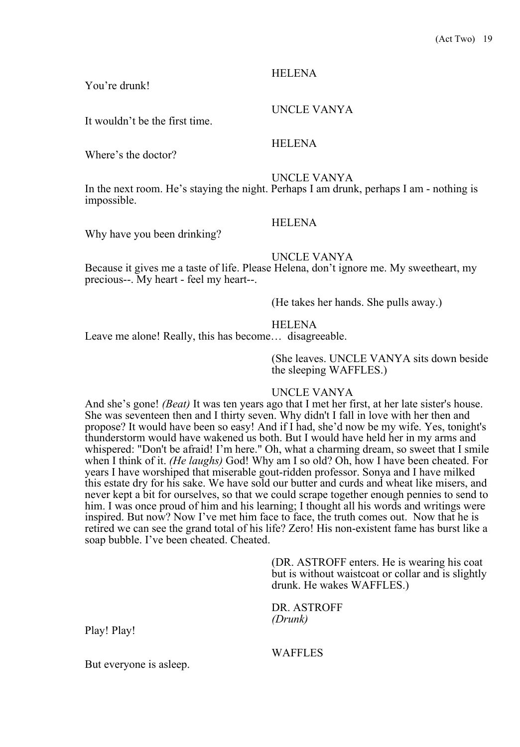# You're drunk!

It wouldn't be the first time.

Where's the doctor?

UNCLE VANYA

UNCLE VANYA

In the next room. He's staying the night. Perhaps I am drunk, perhaps I am - nothing is impossible.

# **HELENA**

HELENA

Why have you been drinking?

#### UNCLE VANYA

Because it gives me a taste of life. Please Helena, don't ignore me. My sweetheart, my precious--. My heart - feel my heart--.

(He takes her hands. She pulls away.)

#### HELENA

Leave me alone! Really, this has become… disagreeable.

(She leaves. UNCLE VANYA sits down beside the sleeping WAFFLES.)

#### UNCLE VANYA

And she's gone! *(Beat)* It was ten years ago that I met her first, at her late sister's house. She was seventeen then and I thirty seven. Why didn't I fall in love with her then and propose? It would have been so easy! And if I had, she'd now be my wife. Yes, tonight's thunderstorm would have wakened us both. But I would have held her in my arms and whispered: "Don't be afraid! I'm here." Oh, what a charming dream, so sweet that I smile when I think of it. *(He laughs)* God! Why am I so old? Oh, how I have been cheated. For years I have worshiped that miserable gout-ridden professor. Sonya and I have milked this estate dry for his sake. We have sold our butter and curds and wheat like misers, and never kept a bit for ourselves, so that we could scrape together enough pennies to send to him. I was once proud of him and his learning; I thought all his words and writings were inspired. But now? Now I've met him face to face, the truth comes out. Now that he is retired we can see the grand total of his life? Zero! His non-existent fame has burst like a soap bubble. I've been cheated. Cheated.

> (DR. ASTROFF enters. He is wearing his coat but is without waistcoat or collar and is slightly drunk. He wakes WAFFLES.)

DR. ASTROFF *(Drunk)* 

Play! Play!

But everyone is asleep.

WAFFLES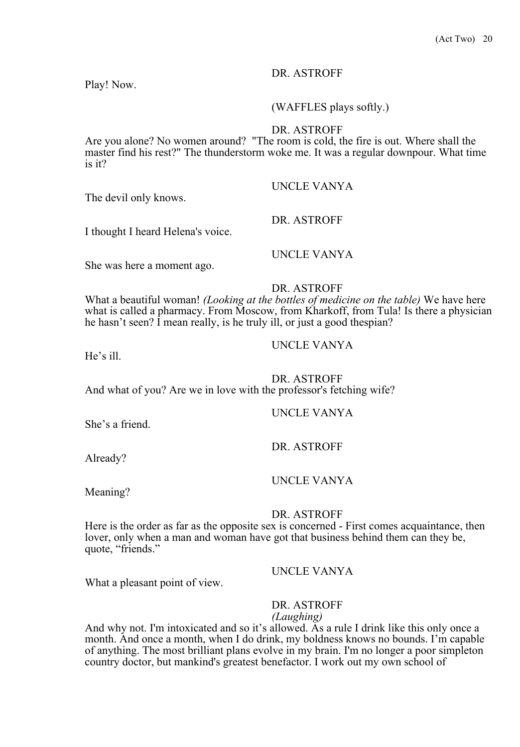Play! Now.

# (WAFFLES plays softly.)

# DR. ASTROFF

Are you alone? No women around? "The room is cold, the fire is out. Where shall the master find his rest?" The thunderstorm woke me. It was a regular downpour. What time is it?

The devil only knows.

I thought I heard Helena's voice.

UNCLE VANYA

UNCLE VANYA

DR. ASTROFF

She was here a moment ago.

DR. ASTROFF

What a beautiful woman! *(Looking at the bottles of medicine on the table)* We have here what is called a pharmacy. From Moscow, from Kharkoff, from Tula! Is there a physician he hasn't seen? I mean really, is he truly ill, or just a good thespian?

He's ill.

DR. ASTROFF And what of you? Are we in love with the professor's fetching wife?

# UNCLE VANYA

She's a friend.

DR. ASTROFF

Already?

UNCLE VANYA

Meaning?

# DR. ASTROFF

Here is the order as far as the opposite sex is concerned - First comes acquaintance, then lover, only when a man and woman have got that business behind them can they be, quote, "friends."

# UNCLE VANYA

What a pleasant point of view.

# DR. ASTROFF

# *(Laughing)*

And why not. I'm intoxicated and so it's allowed. As a rule I drink like this only once a month. And once a month, when I do drink, my boldness knows no bounds. I'm capable of anything. The most brilliant plans evolve in my brain. I'm no longer a poor simpleton country doctor, but mankind's greatest benefactor. I work out my own school of

### UNCLE VANYA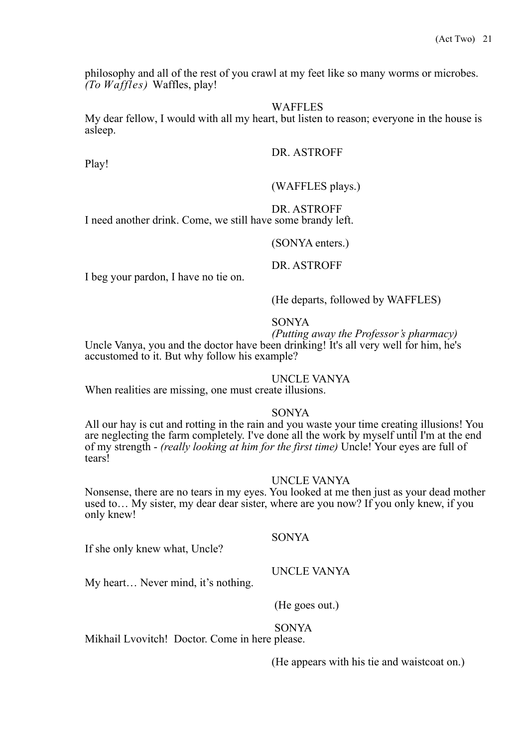philosophy and all of the rest of you crawl at my feet like so many worms or microbes. *(To Waffles)* Waffles, play!

#### **WAFFLES**

My dear fellow, I would with all my heart, but listen to reason; everyone in the house is asleep.

#### DR. ASTROFF

Play!

(WAFFLES plays.)

DR. ASTROFF

I need another drink. Come, we still have some brandy left.

(SONYA enters.)

DR. ASTROFF

I beg your pardon, I have no tie on.

(He departs, followed by WAFFLES)

# SONYA

*(Putting away the Professor's pharmacy)* Uncle Vanya, you and the doctor have been drinking! It's all very well for him, he's accustomed to it. But why follow his example?

#### UNCLE VANYA

When realities are missing, one must create illusions.

#### SONYA

All our hay is cut and rotting in the rain and you waste your time creating illusions! You are neglecting the farm completely. I've done all the work by myself until I'm at the end of my strength - *(really looking at him for the first time)* Uncle! Your eyes are full of tears!

#### UNCLE VANYA

Nonsense, there are no tears in my eyes. You looked at me then just as your dead mother used to… My sister, my dear dear sister, where are you now? If you only knew, if you only knew!

SONYA

If she only knew what, Uncle?

#### UNCLE VANYA

My heart… Never mind, it's nothing.

(He goes out.)

#### SONYA

Mikhail Lvovitch! Doctor. Come in here please.

(He appears with his tie and waistcoat on.)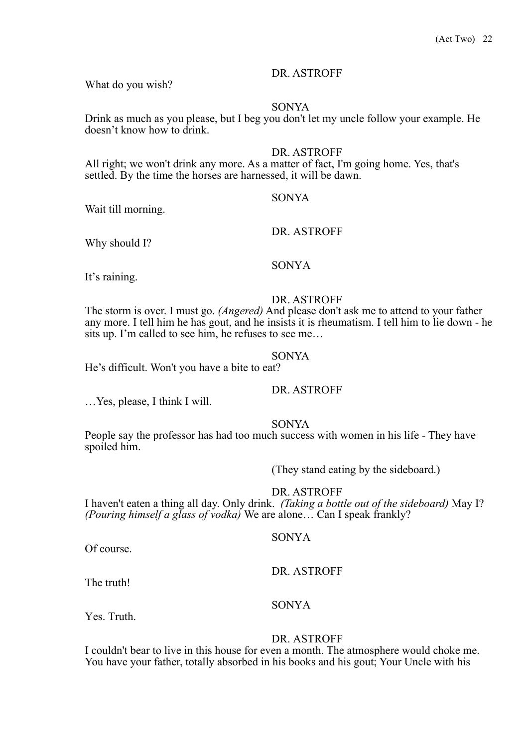What do you wish?

#### SONYA

Drink as much as you please, but I beg you don't let my uncle follow your example. He doesn't know how to drink.

#### DR. ASTROFF

All right; we won't drink any more. As a matter of fact, I'm going home. Yes, that's settled. By the time the horses are harnessed, it will be dawn.

#### SONYA

Wait till morning.

Why should I?

SONYA

It's raining.

#### DR. ASTROFF

DR. ASTROFF

The storm is over. I must go. *(Angered)* And please don't ask me to attend to your father any more. I tell him he has gout, and he insists it is rheumatism. I tell him to lie down - he sits up. I'm called to see him, he refuses to see me…

#### SONYA

He's difficult. Won't you have a bite to eat?

DR. ASTROFF

…Yes, please, I think I will.

SONYA

People say the professor has had too much success with women in his life - They have spoiled him.

(They stand eating by the sideboard.)

DR. ASTROFF

I haven't eaten a thing all day. Only drink. *(Taking a bottle out of the sideboard)* May I? *(Pouring himself a glass of vodka)* We are alone… Can I speak frankly?

#### SONYA

Of course.

DR. ASTROFF

The truth!

#### SONYA

Yes. Truth.

#### DR. ASTROFF

I couldn't bear to live in this house for even a month. The atmosphere would choke me. You have your father, totally absorbed in his books and his gout; Your Uncle with his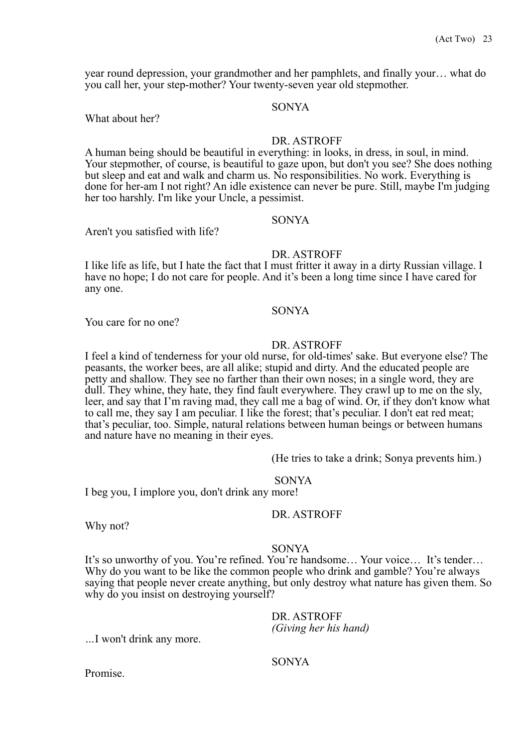year round depression, your grandmother and her pamphlets, and finally your… what do you call her, your step-mother? Your twenty-seven year old stepmother.

#### SONYA

What about her?

#### DR. ASTROFF

A human being should be beautiful in everything: in looks, in dress, in soul, in mind. Your stepmother, of course, is beautiful to gaze upon, but don't you see? She does nothing but sleep and eat and walk and charm us. No responsibilities. No work. Everything is done for her-am I not right? An idle existence can never be pure. Still, maybe I'm judging her too harshly. I'm like your Uncle, a pessimist.

SONYA

# Aren't you satisfied with life?

# DR. ASTROFF

I like life as life, but I hate the fact that I must fritter it away in a dirty Russian village. I have no hope; I do not care for people. And it's been a long time since I have cared for any one.

#### SONYA

You care for no one?

#### DR. ASTROFF

I feel a kind of tenderness for your old nurse, for old-times' sake. But everyone else? The peasants, the worker bees, are all alike; stupid and dirty. And the educated people are petty and shallow. They see no farther than their own noses; in a single word, they are dull. They whine, they hate, they find fault everywhere. They crawl up to me on the sly, leer, and say that I'm raving mad, they call me a bag of wind. Or, if they don't know what to call me, they say I am peculiar. I like the forest; that's peculiar. I don't eat red meat; that's peculiar, too. Simple, natural relations between human beings or between humans and nature have no meaning in their eyes.

(He tries to take a drink; Sonya prevents him.)

#### SONYA

I beg you, I implore you, don't drink any more!

#### DR. ASTROFF

Why not?

#### SONYA

It's so unworthy of you. You're refined. You're handsome… Your voice… It's tender… Why do you want to be like the common people who drink and gamble? You're always saying that people never create anything, but only destroy what nature has given them. So why do you insist on destroying yourself?

DR. ASTROFF

*(Giving her his hand) …*I won't drink any more.

### SONYA

Promise.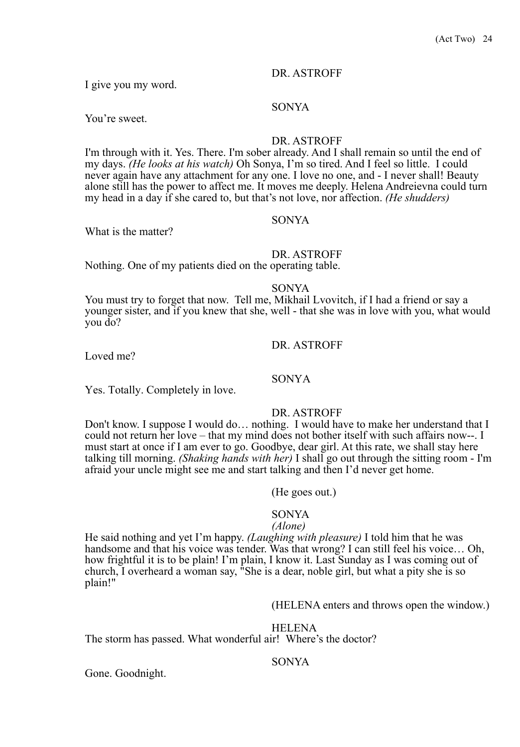I give you my word.

#### SONYA

You're sweet.

#### DR. ASTROFF

I'm through with it. Yes. There. I'm sober already. And I shall remain so until the end of my days. *(He looks at his watch)* Oh Sonya, I'm so tired. And I feel so little. I could never again have any attachment for any one. I love no one, and - I never shall! Beauty alone still has the power to affect me. It moves me deeply. Helena Andreievna could turn my head in a day if she cared to, but that's not love, nor affection. *(He shudders)*

What is the matter?

# SONYA

DR. ASTROFF

Nothing. One of my patients died on the operating table.

SONYA

You must try to forget that now. Tell me, Mikhail Lvovitch, if I had a friend or say a younger sister, and if you knew that she, well - that she was in love with you, what would you do?

Loved me?

DR. ASTROFF

SONYA

Yes. Totally. Completely in love.

### DR. ASTROFF

Don't know. I suppose I would do… nothing. I would have to make her understand that I could not return her love – that my mind does not bother itself with such affairs now--. I must start at once if I am ever to go. Goodbye, dear girl. At this rate, we shall stay here talking till morning. *(Shaking hands with her)* I shall go out through the sitting room - I'm afraid your uncle might see me and start talking and then I'd never get home.

(He goes out.)

### SONYA

#### *(Alone)*

He said nothing and yet I'm happy. *(Laughing with pleasure)* I told him that he was handsome and that his voice was tender. Was that wrong? I can still feel his voice… Oh, how frightful it is to be plain! I'm plain, I know it. Last Sunday as I was coming out of church, I overheard a woman say, "She is a dear, noble girl, but what a pity she is so plain!"

(HELENA enters and throws open the window.)

#### HELENA

The storm has passed. What wonderful air! Where's the doctor?

#### SONYA

Gone. Goodnight.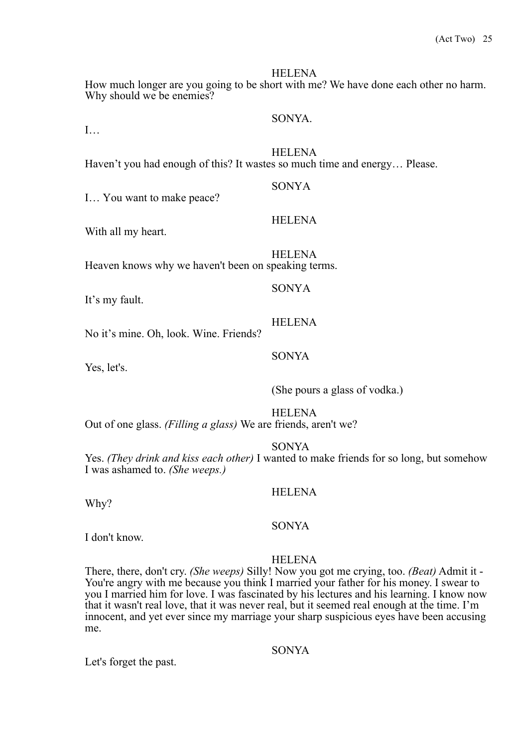How much longer are you going to be short with me? We have done each other no harm. Why should we be enemies?

### SONYA.

 $\mathbf{I}$ …

**HELENA** Haven't you had enough of this? It wastes so much time and energy… Please.

I… You want to make peace?

With all my heart.

HELENA Heaven knows why we haven't been on speaking terms.

SONYA

It's my fault.

#### **HELENA**

No it's mine. Oh, look. Wine. Friends?

Yes, let's.

(She pours a glass of vodka.)

HELENA

Out of one glass. *(Filling a glass)* We are friends, aren't we?

SONYA

Yes. *(They drink and kiss each other)* I wanted to make friends for so long, but somehow I was ashamed to. *(She weeps.)*

# HELENA

Why?

#### SONYA

I don't know.

#### **HELENA**

There, there, don't cry. *(She weeps)* Silly! Now you got me crying, too. *(Beat)* Admit it - You're angry with me because you think I married your father for his money. I swear to you I married him for love. I was fascinated by his lectures and his learning. I know now that it wasn't real love, that it was never real, but it seemed real enough at the time. I'm innocent, and yet ever since my marriage your sharp suspicious eyes have been accusing me.

# SONYA

Let's forget the past.

# HELENA

SONYA

SONYA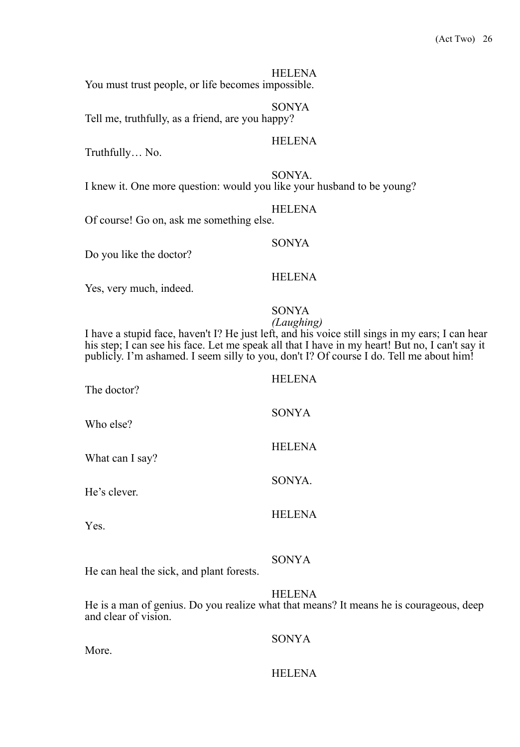HELENA You must trust people, or life becomes impossible.

SONYA Tell me, truthfully, as a friend, are you happy?

# HELENA

Truthfully… No.

SONYA. I knew it. One more question: would you like your husband to be young?

#### **HELENA**

Of course! Go on, ask me something else.

Do you like the doctor?

#### **HELENA**

SONYA

Yes, very much, indeed.

# SONYA

*(Laughing)* I have a stupid face, haven't I? He just left, and his voice still sings in my ears; I can hear his step; I can see his face. Let me speak all that I have in my heart! But no, I can't say it publicly. I'm ashamed. I seem silly to you, don't I? Of course I do. Tell me about him!

| <b>SONYA</b>  |
|---------------|
| <b>HELENA</b> |
| SONYA.        |
| <b>HELENA</b> |
|               |

### SONYA

He can heal the sick, and plant forests.

HELENA

He is a man of genius. Do you realize what that means? It means he is courageous, deep and clear of vision.

#### SONYA

More.

### **HELENA**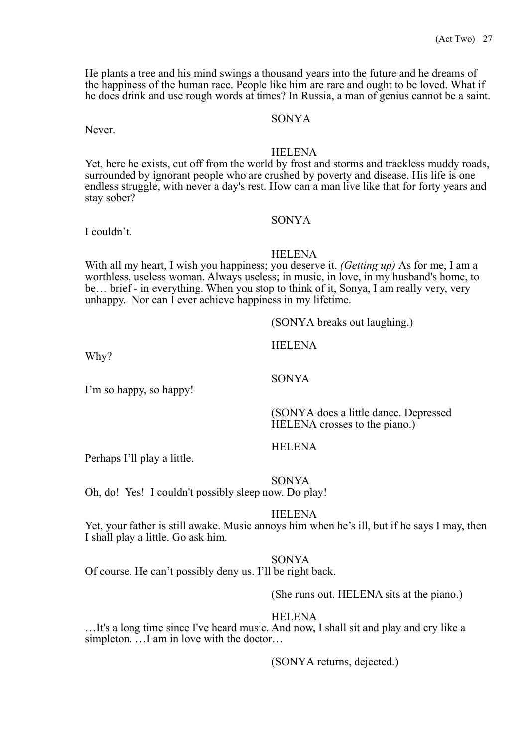He plants a tree and his mind swings a thousand years into the future and he dreams of the happiness of the human race. People like him are rare and ought to be loved. What if he does drink and use rough words at times? In Russia, a man of genius cannot be a saint.

# SONYA

Never.

# **HELENA**

Yet, here he exists, cut off from the world by frost and storms and trackless muddy roads, surrounded by ignorant people who are crushed by poverty and disease. His life is one endless struggle, with never a day's rest. How can a man live like that for forty years and stay sober?

# SONYA

# I couldn't.

#### HELENA

With all my heart, I wish you happiness; you deserve it. *(Getting up)* As for me, I am a worthless, useless woman. Always useless; in music, in love, in my husband's home, to be… brief - in everything. When you stop to think of it, Sonya, I am really very, very unhappy. Nor can I ever achieve happiness in my lifetime.

(SONYA breaks out laughing.)

**HELENA** 

SONYA

Why?

I'm so happy, so happy!

(SONYA does a little dance. Depressed HELENA crosses to the piano.)

#### HELENA

Perhaps I'll play a little.

SONYA

Oh, do! Yes! I couldn't possibly sleep now. Do play!

#### HELENA

Yet, your father is still awake. Music annoys him when he's ill, but if he says I may, then I shall play a little. Go ask him.

#### SONYA

Of course. He can't possibly deny us. I'll be right back.

(She runs out. HELENA sits at the piano.)

#### HELENA

…It's a long time since I've heard music. And now, I shall sit and play and cry like a simpleton. …I am in love with the doctor…

(SONYA returns, dejected.)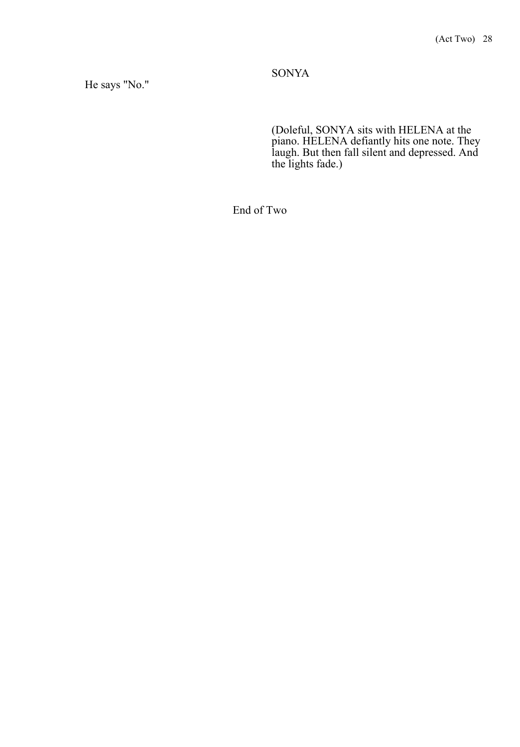# SONYA

# He says "No."

(Doleful, SONYA sits with HELENA at the piano. HELENA defiantly hits one note. They laugh. But then fall silent and depressed. And the lights fade.)

End of Two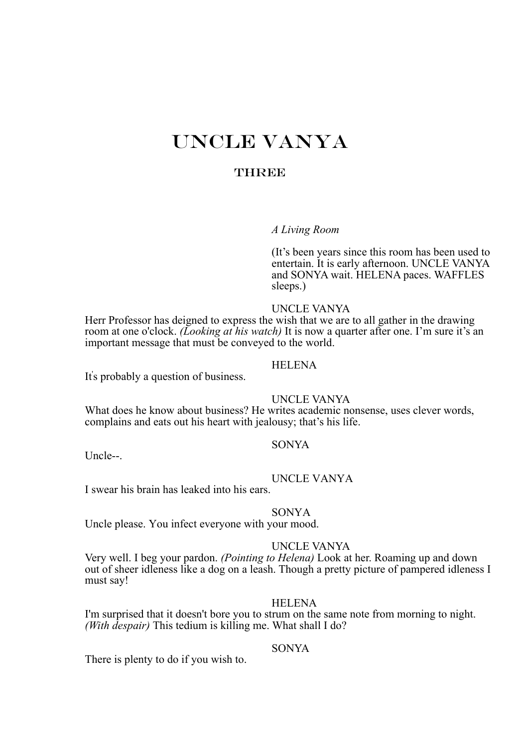# UNCLE VANYA

# **THREE**

### *A Living Room*

(It's been years since this room has been used to entertain. It is early afternoon. UNCLE VANYA and SONYA wait. HELENA paces. WAFFLES sleeps.)

#### UNCLE VANYA

Herr Professor has deigned to express the wish that we are to all gather in the drawing room at one o'clock. *(Looking at his watch)* It is now a quarter after one. I'm sure it's an important message that must be conveyed to the world.

# HELENA

It' s probably a question of business.

#### UNCLE VANYA

What does he know about business? He writes academic nonsense, uses clever words, complains and eats out his heart with jealousy; that's his life.

#### SONYA

Uncle--.

#### UNCLE VANYA

I swear his brain has leaked into his ears.

#### SONYA

Uncle please. You infect everyone with your mood.

#### UNCLE VANYA

Very well. I beg your pardon. *(Pointing to Helena)* Look at her. Roaming up and down out of sheer idleness like a dog on a leash. Though a pretty picture of pampered idleness I must say!

# HELENA

I'm surprised that it doesn't bore you to strum on the same note from morning to night. *(With despair)* This tedium is killing me. What shall I do?

# **SONYA**

There is plenty to do if you wish to.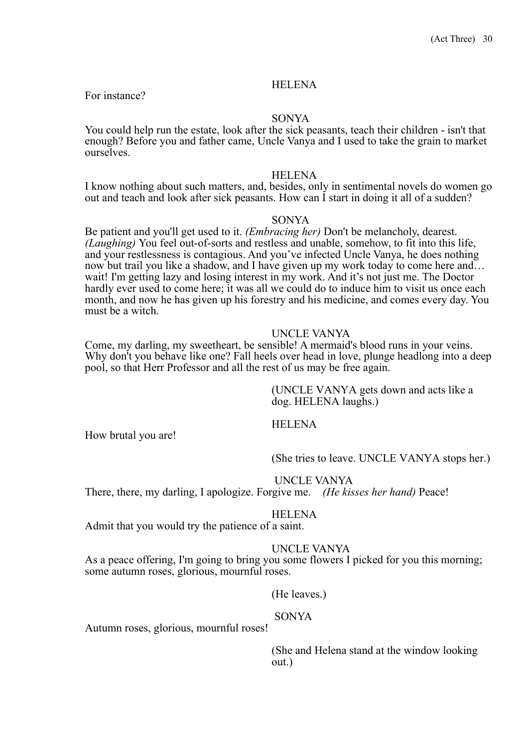For instance?

#### SONYA

You could help run the estate, look after the sick peasants, teach their children - isn't that enough? Before you and father came, Uncle Vanya and I used to take the grain to market ourselves.

#### HELENA

I know nothing about such matters, and, besides, only in sentimental novels do women go out and teach and look after sick peasants. How can I start in doing it all of a sudden?

#### SONYA

Be patient and you'll get used to it. *(Embracing her)* Don't be melancholy, dearest. *(Laughing)* You feel out-of-sorts and restless and unable, somehow, to fit into this life, and your restlessness is contagious. And you've infected Uncle Vanya, he does nothing now but trail you like a shadow, and I have given up my work today to come here and… wait! I'm getting lazy and losing interest in my work. And it's not just me. The Doctor hardly ever used to come here; it was all we could do to induce him to visit us once each month, and now he has given up his forestry and his medicine, and comes every day. You must be a witch.

#### UNCLE VANYA

Come, my darling, my sweetheart, be sensible! A mermaid's blood runs in your veins. Why don't you behave like one? Fall heels over head in love, plunge headlong into a deep pool, so that Herr Professor and all the rest of us may be free again.

> (UNCLE VANYA gets down and acts like a dog. HELENA laughs.)

#### HELENA

How brutal you are!

(She tries to leave. UNCLE VANYA stops her.)

### UNCLE VANYA

There, there, my darling, I apologize. Forgive me. *(He kisses her hand)* Peace!

#### HELENA

Admit that you would try the patience of a saint.

#### UNCLE VANYA

As a peace offering, I'm going to bring you some flowers I picked for you this morning; some autumn roses, glorious, mournful roses.

(He leaves.)

# SONYA

Autumn roses, glorious, mournful roses!

(She and Helena stand at the window looking out.)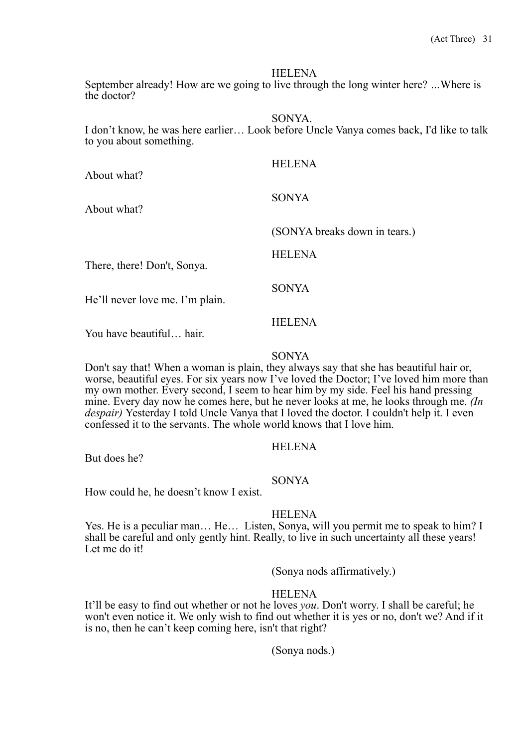September already! How are we going to live through the long winter here? *…*Where is the doctor?

SONYA.

I don't know, he was here earlier… Look before Uncle Vanya comes back, I'd like to talk to you about something.

| About what?                     | <b>HELENA</b>                 |
|---------------------------------|-------------------------------|
| About what?                     | <b>SONYA</b>                  |
|                                 | (SONYA breaks down in tears.) |
| There, there! Don't, Sonya.     | <b>HELENA</b>                 |
| He'll never love me. I'm plain. | <b>SONYA</b>                  |
| You have beautiful hair.        | <b>HELENA</b>                 |

SONYA

Don't say that! When a woman is plain, they always say that she has beautiful hair or, worse, beautiful eyes. For six years now I've loved the Doctor; I've loved him more than my own mother. Every second, I seem to hear him by my side. Feel his hand pressing mine. Every day now he comes here, but he never looks at me, he looks through me. *(In despair)* Yesterday I told Uncle Vanya that I loved the doctor. I couldn't help it. I even confessed it to the servants. The whole world knows that I love him.

### HELENA

But does he?

#### SONYA

How could he, he doesn't know I exist.

#### **HELENA**

Yes. He is a peculiar man… He… Listen, Sonya, will you permit me to speak to him? I shall be careful and only gently hint. Really, to live in such uncertainty all these years! Let me do it!

(Sonya nods affirmatively.)

### **HELENA**

It'll be easy to find out whether or not he loves *you*. Don't worry. I shall be careful; he won't even notice it. We only wish to find out whether it is yes or no, don't we? And if it is no, then he can't keep coming here, isn't that right?

(Sonya nods.)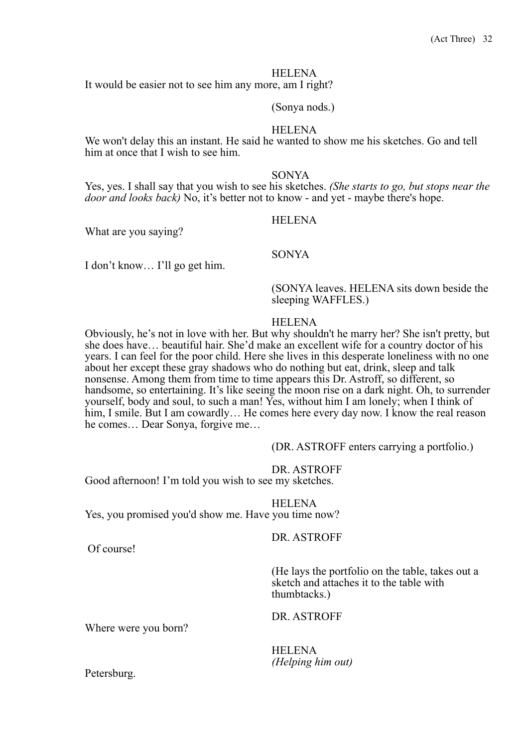It would be easier not to see him any more, am I right?

#### (Sonya nods.)

#### **HELENA**

We won't delay this an instant. He said he wanted to show me his sketches. Go and tell him at once that I wish to see him.

#### SONYA

Yes, yes. I shall say that you wish to see his sketches. *(She starts to go, but stops near the door and looks back)* No, it's better not to know - and yet - maybe there's hope.

What are you saying?

# HELENA

SONYA

I don't know… I'll go get him.

(SONYA leaves. HELENA sits down beside the sleeping WAFFLES.)

#### HELENA

Obviously, he's not in love with her. But why shouldn't he marry her? She isn't pretty, but she does have… beautiful hair. She'd make an excellent wife for a country doctor of his years. I can feel for the poor child. Here she lives in this desperate loneliness with no one about her except these gray shadows who do nothing but eat, drink, sleep and talk nonsense. Among them from time to time appears this Dr. Astroff, so different, so handsome, so entertaining. It's like seeing the moon rise on a dark night. Oh, to surrender yourself, body and soul, to such a man! Yes, without him I am lonely; when I think of him, I smile. But I am cowardly... He comes here every day now. I know the real reason he comes… Dear Sonya, forgive me…

(DR. ASTROFF enters carrying a portfolio.)

#### DR. ASTROFF

Good afternoon! I'm told you wish to see my sketches.

HELENA Yes, you promised you'd show me. Have you time now?

DR. ASTROFF

Of course!

(He lays the portfolio on the table, takes out a sketch and attaches it to the table with thumbtacks.)

DR. ASTROFF

Where were you born?

HELENA *(Helping him out)* 

Petersburg.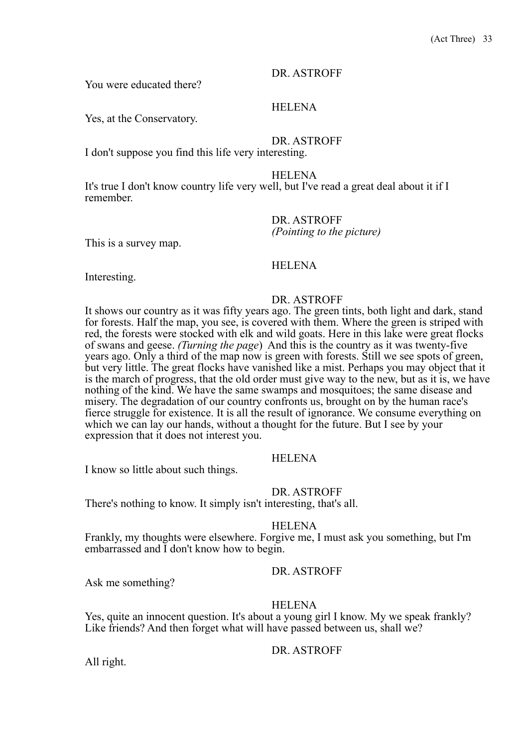You were educated there?

HELENA

Yes, at the Conservatory.

DR. ASTROFF

I don't suppose you find this life very interesting.

HELENA

It's true I don't know country life very well, but I've read a great deal about it if I remember.

DR. ASTROFF *(Pointing to the picture)* This is a survey map.

# HELENA

Interesting.

### DR. ASTROFF

It shows our country as it was fifty years ago. The green tints, both light and dark, stand for forests. Half the map, you see, is covered with them. Where the green is striped with red, the forests were stocked with elk and wild goats. Here in this lake were great flocks of swans and geese. *(Turning the page*) And this is the country as it was twenty-five years ago. Only a third of the map now is green with forests. Still we see spots of green, but very little. The great flocks have vanished like a mist. Perhaps you may object that it is the march of progress, that the old order must give way to the new, but as it is, we have nothing of the kind. We have the same swamps and mosquitoes; the same disease and misery. The degradation of our country confronts us, brought on by the human race's fierce struggle for existence. It is all the result of ignorance. We consume everything on which we can lay our hands, without a thought for the future. But I see by your expression that it does not interest you.

# HELENA

I know so little about such things.

DR. ASTROFF

There's nothing to know. It simply isn't interesting, that's all.

**HELENA** 

Frankly, my thoughts were elsewhere. Forgive me, I must ask you something, but I'm embarrassed and I don't know how to begin.

# DR. ASTROFF

Ask me something?

### HELENA

Yes, quite an innocent question. It's about a young girl I know. My we speak frankly? Like friends? And then forget what will have passed between us, shall we?

# DR. ASTROFF

All right.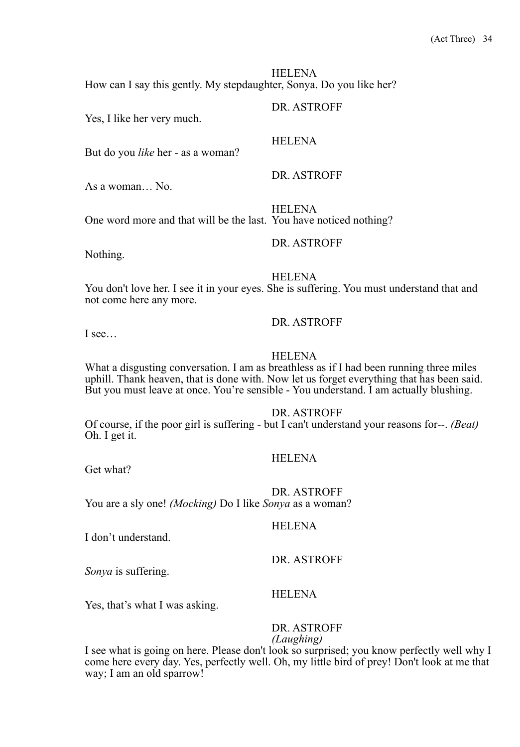HELENA How can I say this gently. My stepdaughter, Sonya. Do you like her?

Yes, I like her very much.

But do you *like* her - as a woman?

As a woman… No.

HELENA One word more and that will be the last. You have noticed nothing?

Nothing.

**HELENA** 

You don't love her. I see it in your eyes. She is suffering. You must understand that and not come here any more.

DR. ASTROFF

DR. ASTROFF

DR. ASTROFF

DR. ASTROFF

**HELENA** 

I see…

#### HELENA

What a disgusting conversation. I am as breathless as if I had been running three miles uphill. Thank heaven, that is done with. Now let us forget everything that has been said. But you must leave at once. You're sensible - You understand. I am actually blushing.

DR. ASTROFF

Of course, if the poor girl is suffering - but I can't understand your reasons for--. *(Beat)*  Oh. I get it.

### **HELENA**

Get what?

DR. ASTROFF You are a sly one! *(Mocking)* Do I like *Sonya* as a woman?

#### **HELENA**

I don't understand.

*Sonya* is suffering.

### HELENA

Yes, that's what I was asking.

# DR. ASTROFF

DR. ASTROFF

*(Laughing)* 

I see what is going on here. Please don't look so surprised; you know perfectly well why I come here every day. Yes, perfectly well. Oh, my little bird of prey! Don't look at me that way; I am an old sparrow!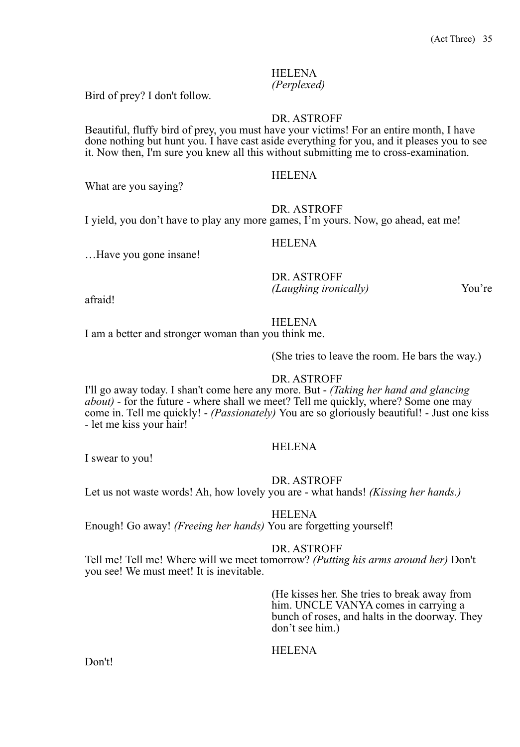*(Perplexed)* 

Bird of prey? I don't follow.

# DR. ASTROFF

Beautiful, fluffy bird of prey, you must have your victims! For an entire month, I have done nothing but hunt you. I have cast aside everything for you, and it pleases you to see it. Now then, I'm sure you knew all this without submitting me to cross-examination.

## **HELENA**

What are you saying?

### DR. ASTROFF

I yield, you don't have to play any more games, I'm yours. Now, go ahead, eat me!

#### HELENA

…Have you gone insane!

DR. ASTROFF *(Laughing ironically)* You're

afraid!

# **HELENA**

I am a better and stronger woman than you think me.

(She tries to leave the room. He bars the way.)

# DR. ASTROFF

I'll go away today. I shan't come here any more. But - *(Taking her hand and glancing about*) - for the future - where shall we meet? Tell me quickly, where? Some one may come in. Tell me quickly! - *(Passionately)* You are so gloriously beautiful! - Just one kiss - let me kiss your hair!

### **HELENA**

I swear to you!

DR. ASTROFF

Let us not waste words! Ah, how lovely you are - what hands! *(Kissing her hands.)*

### HELENA

Enough! Go away! *(Freeing her hands)* You are forgetting yourself!

#### DR. ASTROFF

Tell me! Tell me! Where will we meet tomorrow? *(Putting his arms around her)* Don't you see! We must meet! It is inevitable.

> (He kisses her. She tries to break away from him. UNCLE VANYA comes in carrying a bunch of roses, and halts in the doorway. They don't see him.)

# **HELENA**

Don't!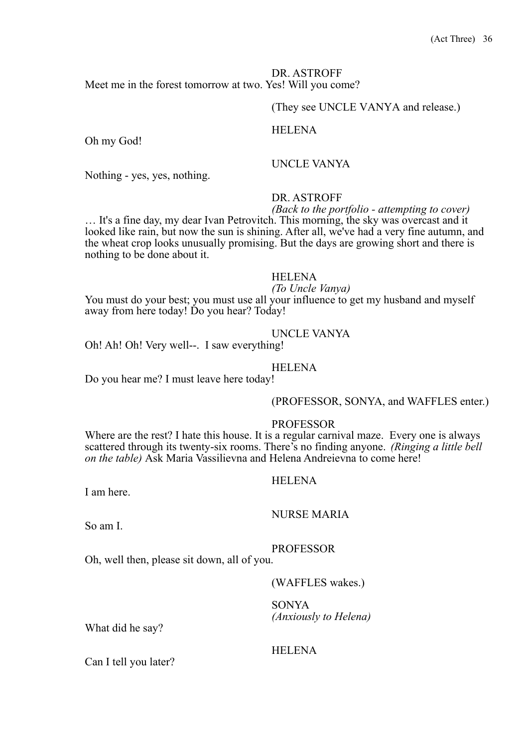#### DR. ASTROFF Meet me in the forest tomorrow at two. Yes! Will you come?

# (They see UNCLE VANYA and release.)

#### **HELENA**

Oh my God!

# UNCLE VANYA

Nothing - yes, yes, nothing.

# DR. ASTROFF

*(Back to the portfolio - attempting to cover)* … It's a fine day, my dear Ivan Petrovitch. This morning, the sky was overcast and it looked like rain, but now the sun is shining. After all, we've had a very fine autumn, and the wheat crop looks unusually promising. But the days are growing short and there is nothing to be done about it.

#### HELENA

# *(To Uncle Vanya)*

You must do your best; you must use all your influence to get my husband and myself away from here today! Do you hear? Today!

### UNCLE VANYA

Oh! Ah! Oh! Very well--. I saw everything!

### HELENA

Do you hear me? I must leave here today!

#### (PROFESSOR, SONYA, and WAFFLES enter.)

#### PROFESSOR

Where are the rest? I hate this house. It is a regular carnival maze. Every one is always scattered through its twenty-six rooms. There's no finding anyone. *(Ringing a little bell on the table)* Ask Maria Vassilievna and Helena Andreievna to come here!

#### HELENA

I am here.

#### NURSE MARIA

So am I.

#### PROFESSOR

Oh, well then, please sit down, all of you.

(WAFFLES wakes.)

# SONYA *(Anxiously to Helena)* What did he say?

Can I tell you later?

# **HELENA**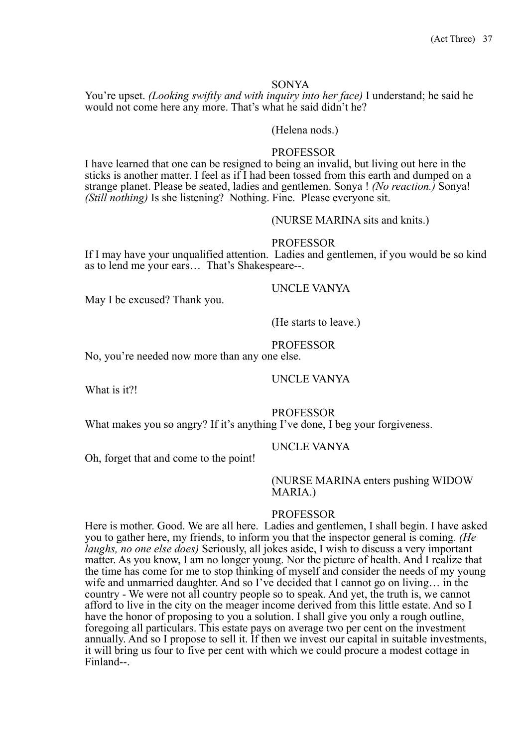#### SONYA

You're upset. *(Looking swiftly and with inquiry into her face)* I understand; he said he would not come here any more. That's what he said didn't he?

#### (Helena nods.)

#### PROFESSOR

I have learned that one can be resigned to being an invalid, but living out here in the sticks is another matter. I feel as if I had been tossed from this earth and dumped on a strange planet. Please be seated, ladies and gentlemen. Sonya ! *(No reaction.)* Sonya! *(Still nothing)* Is she listening? Nothing. Fine. Please everyone sit.

#### (NURSE MARINA sits and knits.)

#### PROFESSOR

If I may have your unqualified attention. Ladies and gentlemen, if you would be so kind as to lend me your ears… That's Shakespeare--.

#### UNCLE VANYA

May I be excused? Thank you.

#### (He starts to leave.)

#### PROFESSOR

No, you're needed now more than any one else.

#### UNCLE VANYA

What is it?!

#### PROFESSOR

What makes you so angry? If it's anything I've done, I beg your forgiveness.

#### UNCLE VANYA

Oh, forget that and come to the point!

#### (NURSE MARINA enters pushing WIDOW MARIA.)

#### PROFESSOR

Here is mother. Good. We are all here. Ladies and gentlemen, I shall begin. I have asked you to gather here, my friends, to inform you that the inspector general is coming*. (He laughs, no one else does)* Seriously, all jokes aside, I wish to discuss a very important matter. As you know, I am no longer young. Nor the picture of health. And I realize that the time has come for me to stop thinking of myself and consider the needs of my young wife and unmarried daughter. And so I've decided that I cannot go on living… in the country - We were not all country people so to speak. And yet, the truth is, we cannot afford to live in the city on the meager income derived from this little estate. And so I have the honor of proposing to you a solution. I shall give you only a rough outline, foregoing all particulars. This estate pays on average two per cent on the investment annually. And so I propose to sell it. If then we invest our capital in suitable investments, it will bring us four to five per cent with which we could procure a modest cottage in Finland--.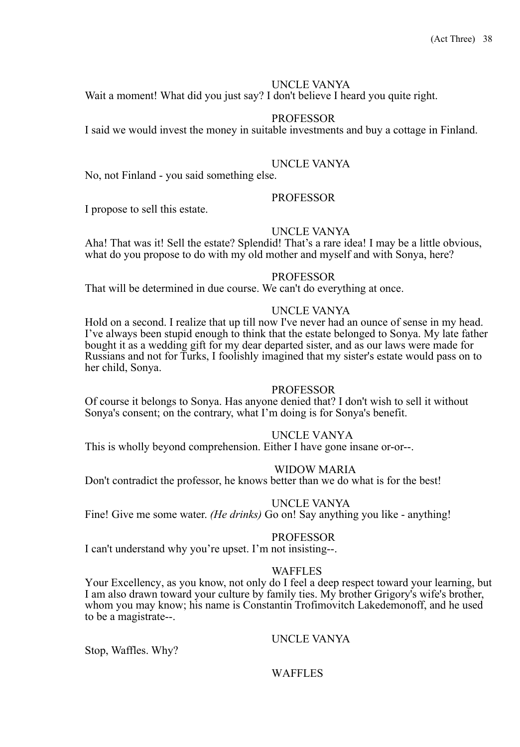# UNCLE VANYA

Wait a moment! What did you just say? I don't believe I heard you quite right.

# PROFESSOR

I said we would invest the money in suitable investments and buy a cottage in Finland.

# UNCLE VANYA

No, not Finland - you said something else.

### PROFESSOR

I propose to sell this estate.

### UNCLE VANYA

Aha! That was it! Sell the estate? Splendid! That's a rare idea! I may be a little obvious, what do you propose to do with my old mother and myself and with Sonya, here?

#### PROFESSOR

That will be determined in due course. We can't do everything at once.

#### UNCLE VANYA

Hold on a second. I realize that up till now I've never had an ounce of sense in my head. I've always been stupid enough to think that the estate belonged to Sonya. My late father bought it as a wedding gift for my dear departed sister, and as our laws were made for Russians and not for Turks, I foolishly imagined that my sister's estate would pass on to her child, Sonya.

#### PROFESSOR

Of course it belongs to Sonya. Has anyone denied that? I don't wish to sell it without Sonya's consent; on the contrary, what I'm doing is for Sonya's benefit.

### UNCLE VANYA

This is wholly beyond comprehension. Either I have gone insane or-or--.

#### WIDOW MARIA

Don't contradict the professor, he knows better than we do what is for the best!

#### UNCLE VANYA

Fine! Give me some water. *(He drinks)* Go on! Say anything you like - anything!

#### PROFESSOR

I can't understand why you're upset. I'm not insisting--.

#### WAFFLES

Your Excellency, as you know, not only do I feel a deep respect toward your learning, but I am also drawn toward your culture by family ties. My brother Grigory's wife's brother, whom you may know; his name is Constantin Trofimovitch Lakedemonoff, and he used to be a magistrate--.

# UNCLE VANYA

Stop, Waffles. Why?

### WAFFLES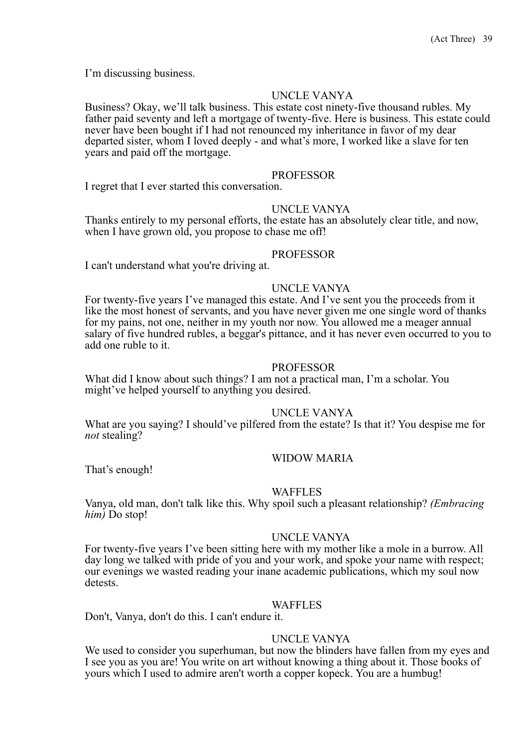I'm discussing business.

# UNCLE VANYA

Business? Okay, we'll talk business. This estate cost ninety-five thousand rubles. My father paid seventy and left a mortgage of twenty-five. Here is business. This estate could never have been bought if I had not renounced my inheritance in favor of my dear departed sister, whom I loved deeply - and what's more, I worked like a slave for ten years and paid off the mortgage.

#### PROFESSOR

I regret that I ever started this conversation.

#### UNCLE VANYA

Thanks entirely to my personal efforts, the estate has an absolutely clear title, and now, when I have grown old, you propose to chase me off!

#### PROFESSOR

I can't understand what you're driving at.

#### UNCLE VANYA

For twenty-five years I've managed this estate. And I've sent you the proceeds from it like the most honest of servants, and you have never given me one single word of thanks for my pains, not one, neither in my youth nor now. You allowed me a meager annual salary of five hundred rubles, a beggar's pittance, and it has never even occurred to you to add one ruble to it.

#### PROFESSOR

What did I know about such things? I am not a practical man, I'm a scholar. You might've helped yourself to anything you desired.

### UNCLE VANYA

What are you saying? I should've pilfered from the estate? Is that it? You despise me for *not* stealing?

### WIDOW MARIA

That's enough!

#### WAFFLES

Vanya, old man, don't talk like this. Why spoil such a pleasant relationship? *(Embracing him)* Do stop!

#### UNCLE VANYA

For twenty-five years I've been sitting here with my mother like a mole in a burrow. All day long we talked with pride of you and your work, and spoke your name with respect; our evenings we wasted reading your inane academic publications, which my soul now detests.

#### WAFFLES

Don't, Vanya, don't do this. I can't endure it.

# UNCLE VANYA

We used to consider you superhuman, but now the blinders have fallen from my eyes and I see you as you are! You write on art without knowing a thing about it. Those books of yours which I used to admire aren't worth a copper kopeck. You are a humbug!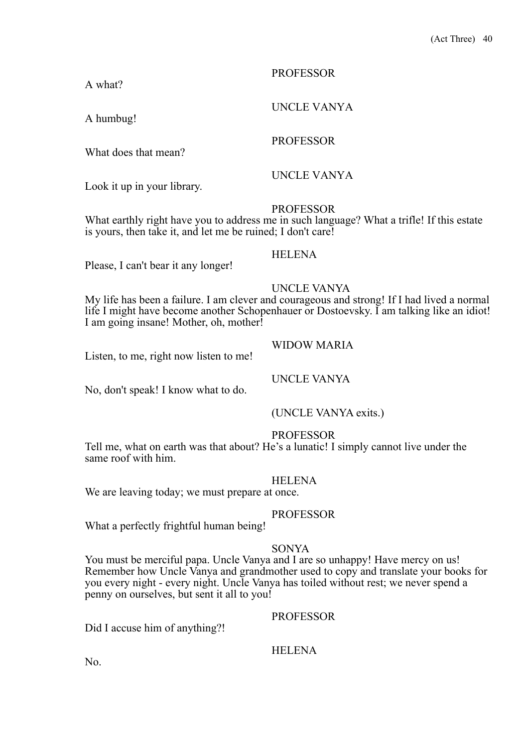# PROFESSOR

UNCLE VANYA

UNCLE VANYA

A what?

A humbug!

What does that mean?

Look it up in your library.

**PROFESSOR** 

PROFESSOR

What earthly right have you to address me in such language? What a trifle! If this estate is yours, then take it, and let me be ruined; I don't care!

HELENA

Please, I can't bear it any longer!

# UNCLE VANYA

My life has been a failure. I am clever and courageous and strong! If I had lived a normal life I might have become another Schopenhauer or Dostoevsky. I am talking like an idiot! I am going insane! Mother, oh, mother!

Listen, to me, right now listen to me!

UNCLE VANYA

WIDOW MARIA

No, don't speak! I know what to do.

(UNCLE VANYA exits.)

# PROFESSOR

Tell me, what on earth was that about? He's a lunatic! I simply cannot live under the same roof with him.

### **HELENA**

We are leaving today; we must prepare at once.

# PROFESSOR

What a perfectly frightful human being!

#### SONYA

You must be merciful papa. Uncle Vanya and I are so unhappy! Have mercy on us! Remember how Uncle Vanya and grandmother used to copy and translate your books for you every night - every night. Uncle Vanya has toiled without rest; we never spend a penny on ourselves, but sent it all to you!

PROFESSOR

Did I accuse him of anything?!

# **HELENA**

No.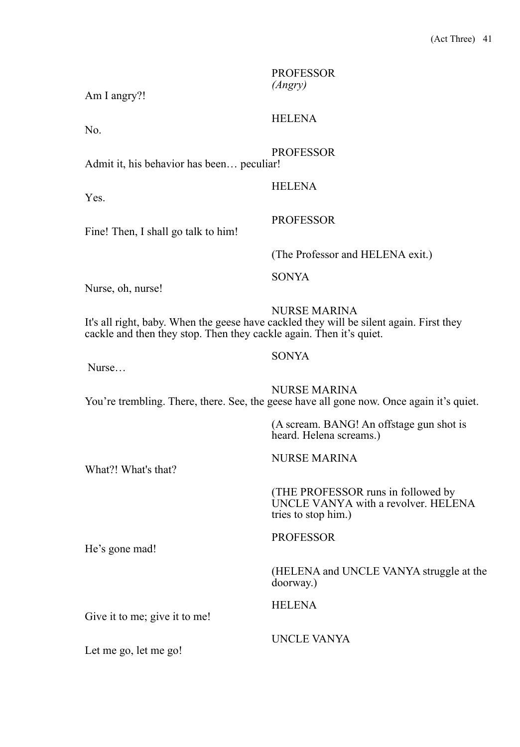| Am I angry?!                                                        | <b>PROFESSOR</b><br>(Angry)                                                                                     |
|---------------------------------------------------------------------|-----------------------------------------------------------------------------------------------------------------|
| No.                                                                 | <b>HELENA</b>                                                                                                   |
| Admit it, his behavior has been peculiar!                           | <b>PROFESSOR</b>                                                                                                |
| Yes.                                                                | <b>HELENA</b>                                                                                                   |
| Fine! Then, I shall go talk to him!                                 | <b>PROFESSOR</b>                                                                                                |
|                                                                     | (The Professor and HELENA exit.)                                                                                |
| Nurse, oh, nurse!                                                   | <b>SONYA</b>                                                                                                    |
| cackle and then they stop. Then they cackle again. Then it's quiet. | <b>NURSE MARINA</b><br>It's all right, baby. When the geese have cackled they will be silent again. First they  |
| Nurse                                                               | <b>SONYA</b>                                                                                                    |
|                                                                     | <b>NURSE MARINA</b><br>You're trembling. There, there. See, the geese have all gone now. Once again it's quiet. |
|                                                                     | (A scream. BANG! An offstage gun shot is<br>heard. Helena screams.)                                             |
| What?! What's that?                                                 | <b>NURSE MARINA</b>                                                                                             |
|                                                                     | (THE PROFESSOR runs in followed by<br>UNCLE VANYA with a revolver. HELENA<br>tries to stop him.)                |
| He's gone mad!                                                      | <b>PROFESSOR</b>                                                                                                |
|                                                                     | (HELENA and UNCLE VANYA struggle at the<br>doorway.)                                                            |
| Give it to me; give it to me!                                       | <b>HELENA</b>                                                                                                   |
| Let me go, let me go!                                               | UNCLE VANYA                                                                                                     |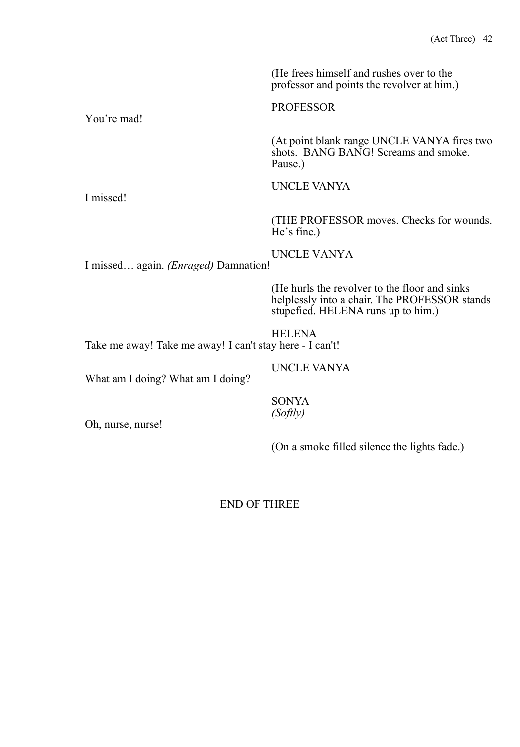(He frees himself and rushes over to the professor and points the revolver at him.)

You're mad!

PROFESSOR

(At point blank range UNCLE VANYA fires two shots. BANG BANG! Screams and smoke. Pause.)

UNCLE VANYA

UNCLE VANYA

(THE PROFESSOR moves. Checks for wounds. He's fine.)

I missed… again. *(Enraged)* Damnation!

(He hurls the revolver to the floor and sinks helplessly into a chair. The PROFESSOR stands stupefied. HELENA runs up to him.)

**HELENA** Take me away! Take me away! I can't stay here - I can't!

UNCLE VANYA

What am I doing? What am I doing?

SONYA *(Softly)* 

Oh, nurse, nurse!

(On a smoke filled silence the lights fade.)

END OF THREE

I missed!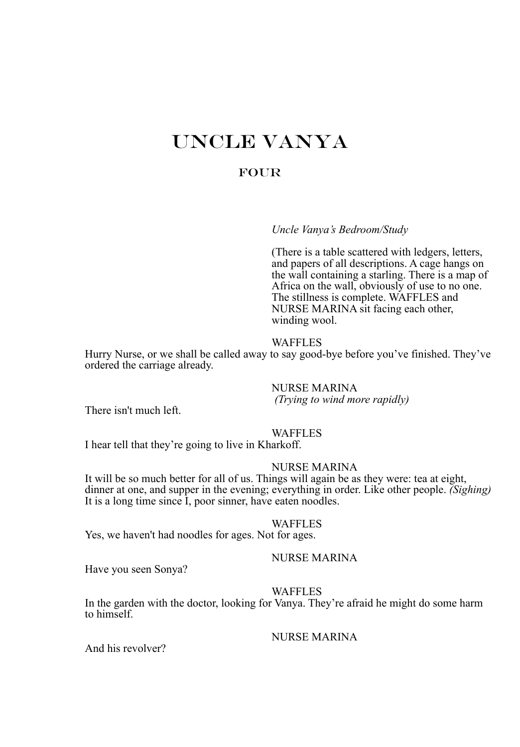# UNCLE VANYA

# **FOUR**

*Uncle Vanya's Bedroom/Study*

(There is a table scattered with ledgers, letters, and papers of all descriptions. A cage hangs on the wall containing a starling. There is a map of Africa on the wall, obviously of use to no one. The stillness is complete. WAFFLES and NURSE MARINA sit facing each other, winding wool.

### WAFFLES

Hurry Nurse, or we shall be called away to say good-bye before you've finished. They've ordered the carriage already.

NURSE MARINA *(Trying to wind more rapidly)* There isn't much left.

#### WAFFLES

I hear tell that they're going to live in Kharkoff.

# NURSE MARINA

It will be so much better for all of us. Things will again be as they were: tea at eight, dinner at one, and supper in the evening; everything in order. Like other people. *(Sighing)*  It is a long time since I, poor sinner, have eaten noodles.

#### WAFFLES

Yes, we haven't had noodles for ages. Not for ages.

#### NURSE MARINA

Have you seen Sonya?

#### WAFFLES

In the garden with the doctor, looking for Vanya. They're afraid he might do some harm to himself.

#### NURSE MARINA

And his revolver?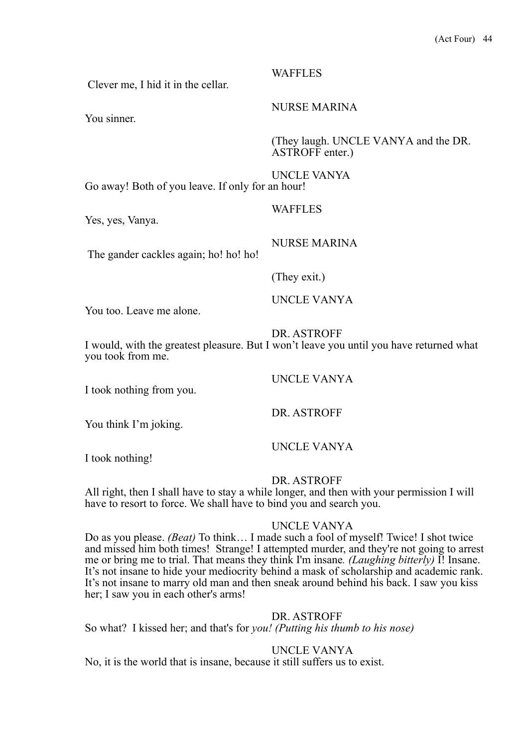Clever me, I hid it in the cellar.

You sinner.

WAFFLES

NURSE MARINA

(They laugh. UNCLE VANYA and the DR. ASTROFF enter.)

UNCLE VANYA Go away! Both of you leave. If only for an hour!

Yes, yes, Vanya.

The gander cackles again; ho! ho! ho!

(They exit.)

**WAFFLES** 

UNCLE VANYA

NURSE MARINA

You too. Leave me alone.

DR. ASTROFF

I would, with the greatest pleasure. But I won't leave you until you have returned what you took from me.

I took nothing from you.

You think I'm joking.

UNCLE VANYA

DR. ASTROFF

UNCLE VANYA

I took nothing!

DR. ASTROFF

All right, then I shall have to stay a while longer, and then with your permission I will have to resort to force. We shall have to bind you and search you.

# UNCLE VANYA

Do as you please. *(Beat)* To think… I made such a fool of myself! Twice! I shot twice and missed him both times! Strange! I attempted murder, and they're not going to arrest me or bring me to trial. That means they think I'm insane*. (Laughing bitterly)* I! Insane. It's not insane to hide your mediocrity behind a mask of scholarship and academic rank. It's not insane to marry old man and then sneak around behind his back. I saw you kiss her; I saw you in each other's arms!

# DR. ASTROFF

So what? I kissed her; and that's for *you! (Putting his thumb to his nose)*

UNCLE VANYA

No, it is the world that is insane, because it still suffers us to exist.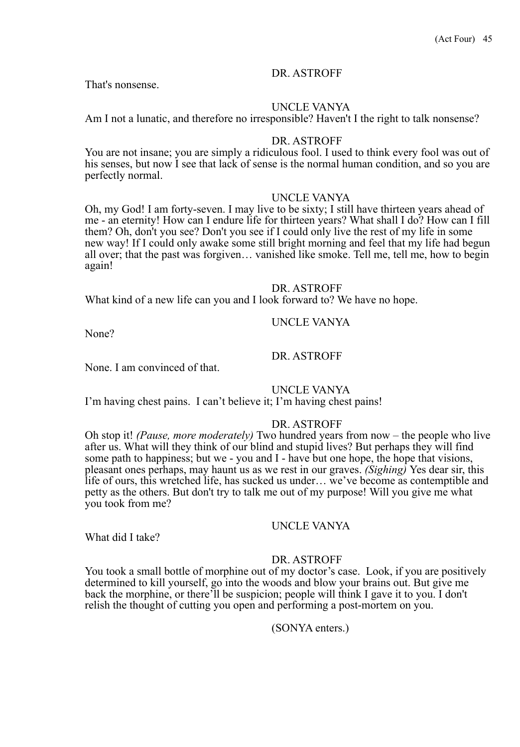That's nonsense.

### UNCLE VANYA

Am I not a lunatic, and therefore no irresponsible? Haven't I the right to talk nonsense?

#### DR. ASTROFF

You are not insane; you are simply a ridiculous fool. I used to think every fool was out of his senses, but now I see that lack of sense is the normal human condition, and so you are perfectly normal.

#### UNCLE VANYA

Oh, my God! I am forty-seven. I may live to be sixty; I still have thirteen years ahead of me - an eternity! How can I endure life for thirteen years? What shall I do? How can I fill them? Oh, don't you see? Don't you see if I could only live the rest of my life in some new way! If I could only awake some still bright morning and feel that my life had begun all over; that the past was forgiven… vanished like smoke. Tell me, tell me, how to begin again!

#### DR. ASTROFF

What kind of a new life can you and I look forward to? We have no hope.

#### UNCLE VANYA

None?

### DR. ASTROFF

None. I am convinced of that.

### UNCLE VANYA

I'm having chest pains. I can't believe it; I'm having chest pains!

#### DR. ASTROFF

Oh stop it! *(Pause, more moderately)* Two hundred years from now – the people who live after us. What will they think of our blind and stupid lives? But perhaps they will find some path to happiness; but we - you and I - have but one hope, the hope that visions, pleasant ones perhaps, may haunt us as we rest in our graves. *(Sighing)* Yes dear sir, this life of ours, this wretched life, has sucked us under… we've become as contemptible and petty as the others. But don't try to talk me out of my purpose! Will you give me what you took from me?

# UNCLE VANYA

What did I take?

### DR. ASTROFF

You took a small bottle of morphine out of my doctor's case. Look, if you are positively determined to kill yourself, go into the woods and blow your brains out. But give me back the morphine, or there'll be suspicion; people will think I gave it to you. I don't relish the thought of cutting you open and performing a post-mortem on you.

### (SONYA enters.)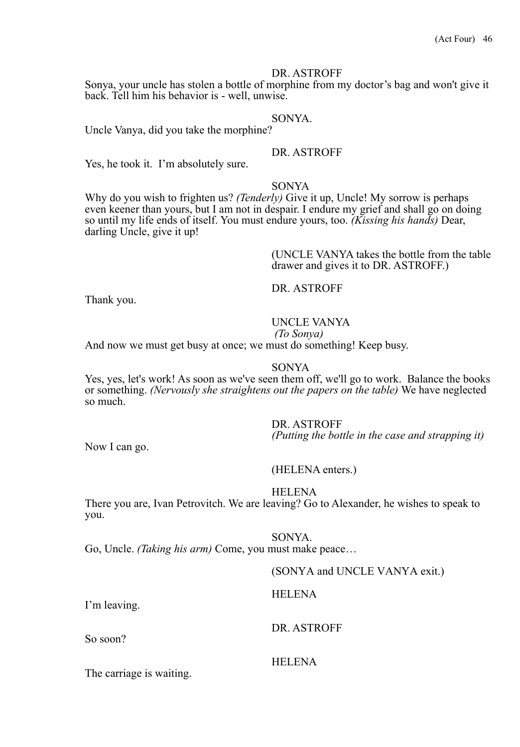Sonya, your uncle has stolen a bottle of morphine from my doctor's bag and won't give it back. Tell him his behavior is - well, unwise.

# SONYA.

Uncle Vanya, did you take the morphine?

#### DR. ASTROFF

Yes, he took it. I'm absolutely sure.

#### SONYA

Why do you wish to frighten us? *(Tenderly)* Give it up, Uncle! My sorrow is perhaps even keener than yours, but I am not in despair. I endure my grief and shall go on doing so until my life ends of itself. You must endure yours, too. *(Kissing his hands)* Dear, darling Uncle, give it up!

> (UNCLE VANYA takes the bottle from the table drawer and gives it to DR. ASTROFF.)

DR. ASTROFF

Thank you.

# UNCLE VANYA

*(To Sonya)* 

And now we must get busy at once; we must do something! Keep busy.

#### SONYA

Yes, yes, let's work! As soon as we've seen them off, we'll go to work. Balance the books or something. *(Nervously she straightens out the papers on the table)* We have neglected so much.

DR. ASTROFF

*(Putting the bottle in the case and strapping it)* 

Now I can go.

I'm leaving.

So soon?

(HELENA enters.)

#### HELENA

There you are, Ivan Petrovitch. We are leaving? Go to Alexander, he wishes to speak to you.

SONYA. Go, Uncle. *(Taking his arm)* Come, you must make peace…

| (SONYA and UNCLE VANYA exit.) |
|-------------------------------|
| <b>HELENA</b>                 |
| DR. ASTROFF                   |
| <b>HELENA</b>                 |

The carriage is waiting.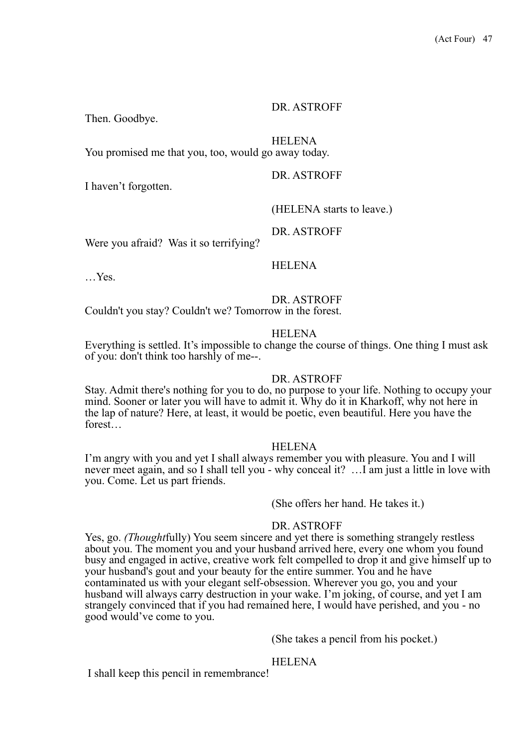Then. Goodbye.

HELENA

You promised me that you, too, would go away today.

DR. ASTROFF

I haven't forgotten.

(HELENA starts to leave.)

DR. ASTROFF

Were you afraid? Was it so terrifying?

#### **HELENA**

…Yes.

DR. ASTROFF

Couldn't you stay? Couldn't we? Tomorrow in the forest.

#### HELENA

Everything is settled. It's impossible to change the course of things. One thing I must ask of you: don't think too harshly of me--.

#### DR. ASTROFF

Stay. Admit there's nothing for you to do, no purpose to your life. Nothing to occupy your mind. Sooner or later you will have to admit it. Why do it in Kharkoff, why not here in the lap of nature? Here, at least, it would be poetic, even beautiful. Here you have the forest…

### HELENA

I'm angry with you and yet I shall always remember you with pleasure. You and I will never meet again, and so I shall tell you - why conceal it? …I am just a little in love with you. Come. Let us part friends.

(She offers her hand. He takes it.)

#### DR. ASTROFF

Yes, go. *(Thought*fully) You seem sincere and yet there is something strangely restless about you. The moment you and your husband arrived here, every one whom you found busy and engaged in active, creative work felt compelled to drop it and give himself up to your husband's gout and your beauty for the entire summer. You and he have contaminated us with your elegant self-obsession. Wherever you go, you and your husband will always carry destruction in your wake. I'm joking, of course, and yet I am strangely convinced that if you had remained here, I would have perished, and you - no good would've come to you.

(She takes a pencil from his pocket.)

#### HELENA

I shall keep this pencil in remembrance!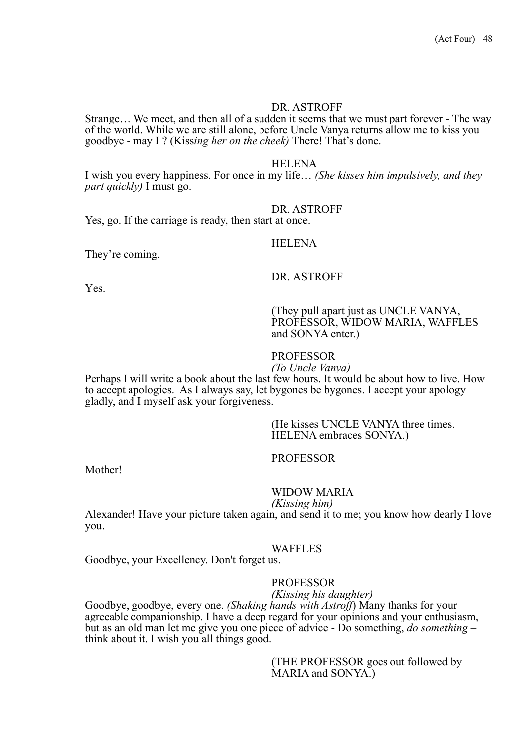Strange… We meet, and then all of a sudden it seems that we must part forever - The way of the world. While we are still alone, before Uncle Vanya returns allow me to kiss you goodbye - may I ? (Kiss*ing her on the cheek)* There! That's done.

#### HELENA

I wish you every happiness. For once in my life… *(She kisses him impulsively, and they part quickly)* I must go.

#### DR. ASTROFF

Yes, go. If the carriage is ready, then start at once.

#### HELENA

They're coming.

#### DR. ASTROFF

Yes.

(They pull apart just as UNCLE VANYA, PROFESSOR, WIDOW MARIA, WAFFLES and SONYA enter.)

#### PROFESSOR

*(To Uncle Vanya)* Perhaps I will write a book about the last few hours. It would be about how to live. How to accept apologies. As I always say, let bygones be bygones. I accept your apology gladly, and I myself ask your forgiveness.

> (He kisses UNCLE VANYA three times. HELENA embraces SONYA.)

#### PROFESSOR

Mother!

#### WIDOW MARIA

*(Kissing him)*

Alexander! Have your picture taken again, and send it to me; you know how dearly I love you.

#### WAFFLES

Goodbye, your Excellency. Don't forget us.

#### PROFESSOR

*(Kissing his daughter)* Goodbye, goodbye, every one. *(Shaking hands with Astroff*) Many thanks for your agreeable companionship. I have a deep regard for your opinions and your enthusiasm, but as an old man let me give you one piece of advice - Do something, *do something* – think about it. I wish you all things good.

> (THE PROFESSOR goes out followed by MARIA and SONYA.)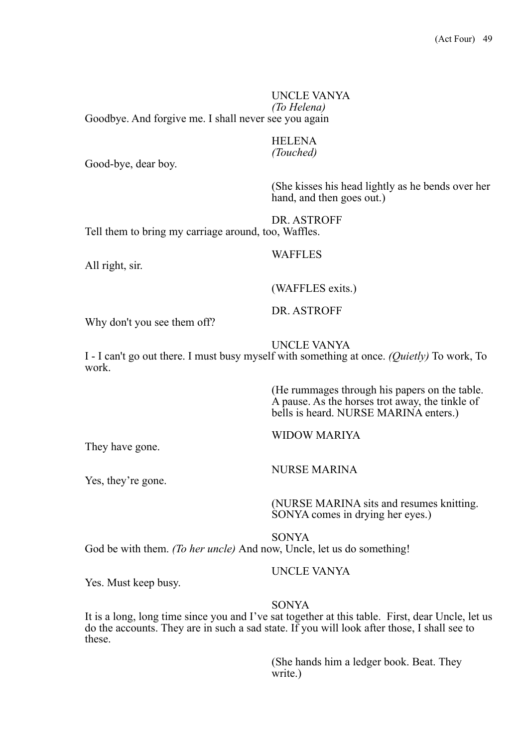UNCLE VANYA *(To Helena)* Goodbye. And forgive me. I shall never see you again

# **HELENA**

*(Touched)* Good-bye, dear boy.

All right, sir.

(She kisses his head lightly as he bends over her hand, and then goes out.)

DR. ASTROFF Tell them to bring my carriage around, too, Waffles.

#### WAFFLES

(WAFFLES exits.)

Why don't you see them off?

UNCLE VANYA

DR. ASTROFF

I - I can't go out there. I must busy myself with something at once. *(Quietly)* To work, To work.

> (He rummages through his papers on the table. A pause. As the horses trot away, the tinkle of bells is heard. NURSE MARINA enters.)

They have gone.

WIDOW MARIYA

Yes, they're gone.

NURSE MARINA

(NURSE MARINA sits and resumes knitting. SONYA comes in drying her eyes.)

SONYA

God be with them. *(To her uncle)* And now, Uncle, let us do something!

# UNCLE VANYA

Yes. Must keep busy.

#### SONYA

It is a long, long time since you and I've sat together at this table. First, dear Uncle, let us do the accounts. They are in such a sad state. If you will look after those, I shall see to these.

> (She hands him a ledger book. Beat. They write.)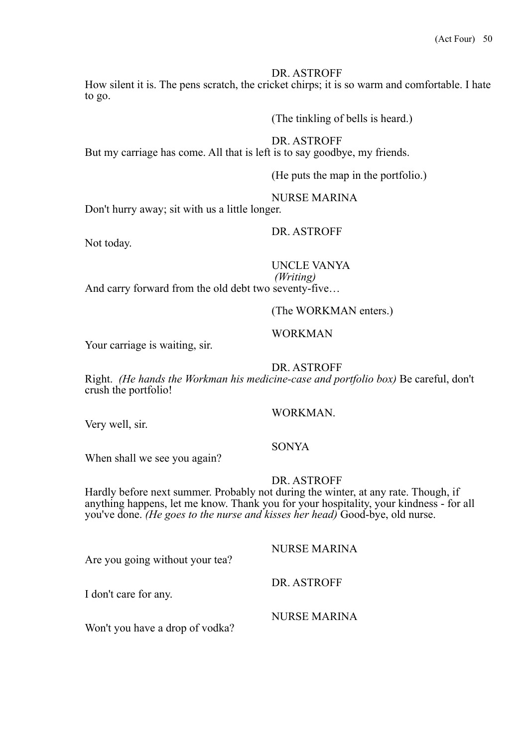How silent it is. The pens scratch, the cricket chirps; it is so warm and comfortable. I hate to go.

(The tinkling of bells is heard.)

DR. ASTROFF

But my carriage has come. All that is left is to say goodbye, my friends.

(He puts the map in the portfolio.)

NURSE MARINA

Don't hurry away; sit with us a little longer.

DR. ASTROFF

Not today.

# UNCLE VANYA

*(Writing)* And carry forward from the old debt two seventy-five…

(The WORKMAN enters.)

# Your carriage is waiting, sir.

# DR. ASTROFF

WORKMAN

Right. *(He hands the Workman his medicine-case and portfolio box)* Be careful, don't crush the portfolio!

### WORKMAN.

Very well, sir.

### SONYA

When shall we see you again?

# DR. ASTROFF

Hardly before next summer. Probably not during the winter, at any rate. Though, if anything happens, let me know. Thank you for your hospitality, your kindness - for all you've done. *(He goes to the nurse and kisses her head)* Good-bye, old nurse.

Are you going without your tea?

I don't care for any.

Won't you have a drop of vodka?

NURSE MARINA

DR. ASTROFF

NURSE MARINA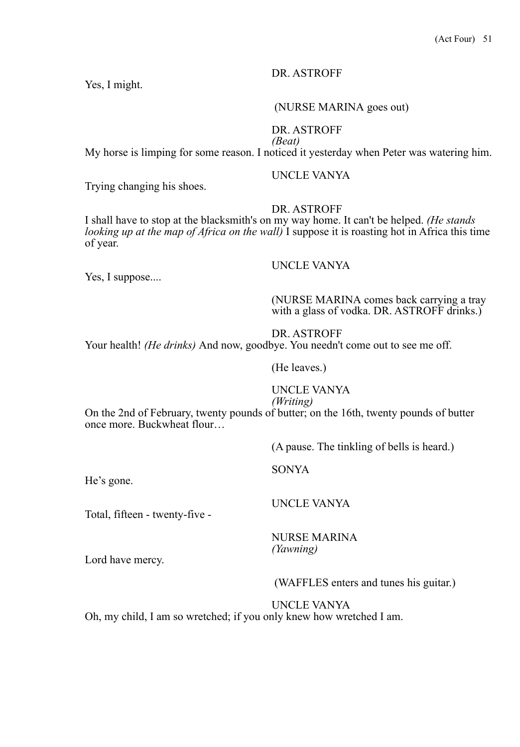Yes, I might.

#### (NURSE MARINA goes out)

# DR. ASTROFF

*(Beat)* My horse is limping for some reason. I noticed it yesterday when Peter was watering him.

#### UNCLE VANYA

Trying changing his shoes.

#### DR. ASTROFF

I shall have to stop at the blacksmith's on my way home. It can't be helped. *(He stands looking up at the map of Africa on the wall)* I suppose it is roasting hot in Africa this time of year.

# UNCLE VANYA

Yes, I suppose....

#### (NURSE MARINA comes back carrying a tray with a glass of vodka. DR. ASTROFF drinks.)

#### DR. ASTROFF

Your health! *(He drinks)* And now, goodbye. You needn't come out to see me off.

# (He leaves.)

# UNCLE VANYA

# *(Writing)*

On the 2nd of February, twenty pounds of butter; on the 16th, twenty pounds of butter once more. Buckwheat flour…

(A pause. The tinkling of bells is heard.)

SONYA

He's gone.

Total, fifteen - twenty-five -

UNCLE VANYA

NURSE MARINA *(Yawning)* 

Lord have mercy.

(WAFFLES enters and tunes his guitar.)

UNCLE VANYA

Oh, my child, I am so wretched; if you only knew how wretched I am.